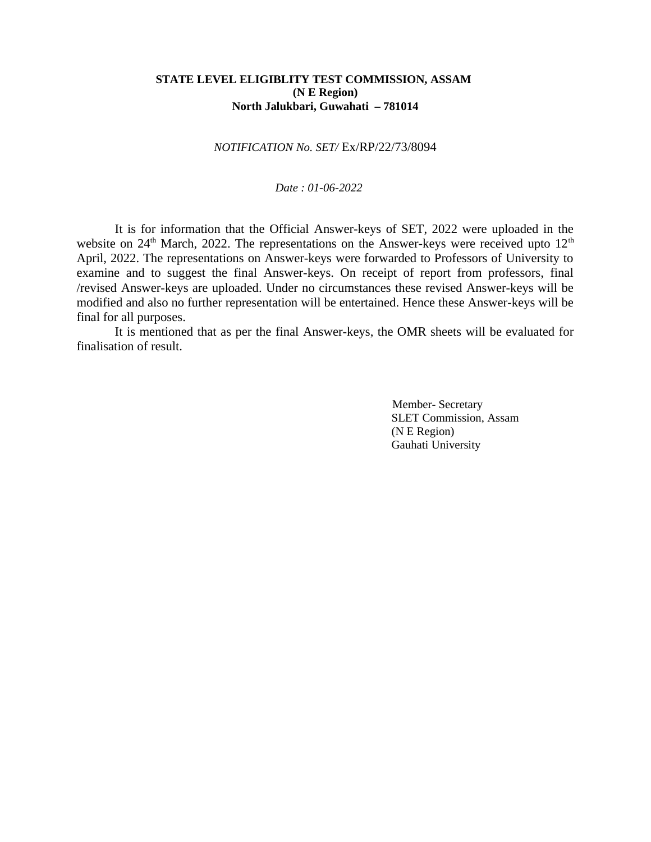### **STATE LEVEL ELIGIBLITY TEST COMMISSION, ASSAM (N E Region) North Jalukbari, Guwahati – 781014**

### *NOTIFICATION No. SET/* Ex/RP/22/73/8094

#### *Date : 01-06-2022*

It is for information that the Official Answer-keys of SET, 2022 were uploaded in the website on 24<sup>th</sup> March, 2022. The representations on the Answer-keys were received upto 12<sup>th</sup> April, 2022. The representations on Answer-keys were forwarded to Professors of University to examine and to suggest the final Answer-keys. On receipt of report from professors, final /revised Answer-keys are uploaded. Under no circumstances these revised Answer-keys will be modified and also no further representation will be entertained. Hence these Answer-keys will be final for all purposes.

It is mentioned that as per the final Answer-keys, the OMR sheets will be evaluated for finalisation of result.

> Member- Secretary SLET Commission, Assam (N E Region) Gauhati University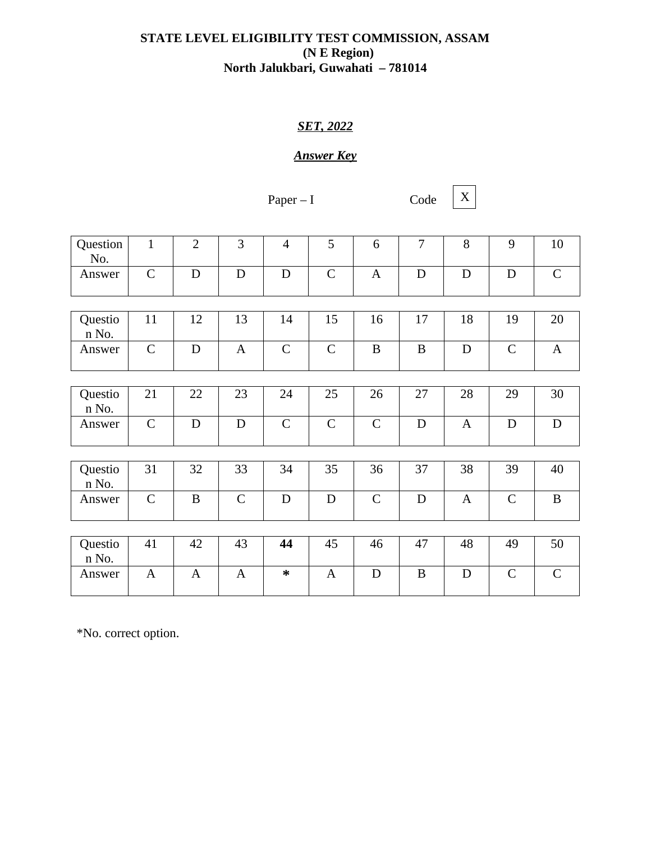# **STATE LEVEL ELIGIBILITY TEST COMMISSION, ASSAM (N E Region) North Jalukbari, Guwahati – 781014**

# *SET, 2022*

# *Answer Key*

Paper  $-I$ 

Code  $X$ 

| Question<br>No.  | $\mathbf{1}$ | $\overline{2}$ | 3            | $\overline{4}$ | 5            | 6            | 7           | 8                | 9            | 10           |
|------------------|--------------|----------------|--------------|----------------|--------------|--------------|-------------|------------------|--------------|--------------|
| Answer           | $\mathsf{C}$ | D              | D            | $\mathbf D$    | $\mathsf{C}$ | $\mathbf{A}$ | ${\bf D}$   | D                | $\mathbf D$  | $\mathsf C$  |
|                  |              |                |              |                |              |              |             |                  |              |              |
| Questio<br>n No. | 11           | 12             | 13           | 14             | 15           | 16           | 17          | 18               | 19           | 20           |
| Answer           | $\mathsf{C}$ | D              | $\mathbf{A}$ | $\mathsf{C}$   | $\mathsf{C}$ | B            | $\mathbf B$ | D                | $\mathsf{C}$ | $\mathbf{A}$ |
|                  |              |                |              |                |              |              |             |                  |              |              |
| Questio<br>n No. | 21           | 22             | 23           | 24             | 25           | 26           | 27          | 28               | 29           | 30           |
| Answer           | $\mathsf{C}$ | D              | D            | $\mathsf{C}$   | $\mathsf{C}$ | $\mathsf{C}$ | D           | $\boldsymbol{A}$ | D            | $\mathbf D$  |
|                  |              |                |              |                |              |              |             |                  |              |              |
| Questio<br>n No. | 31           | 32             | 33           | 34             | 35           | 36           | 37          | 38               | 39           | 40           |
| Answer           | $\mathsf{C}$ | $\mathbf B$    | $\mathsf{C}$ | $\mathbf D$    | $\mathbf D$  | $\mathsf{C}$ | $\mathbf D$ | $\boldsymbol{A}$ | $\mathsf{C}$ | $\bf{B}$     |
|                  |              |                |              |                |              |              |             |                  |              |              |
| Questio<br>n No. | 41           | 42             | 43           | 44             | 45           | 46           | 47          | 48               | 49           | 50           |
| Answer           | $\mathbf{A}$ | $\mathbf{A}$   | $\mathbf{A}$ | ∗              | $\mathbf{A}$ | $\mathbf D$  | $\mathbf B$ | D                | $\mathsf{C}$ | $\mathsf{C}$ |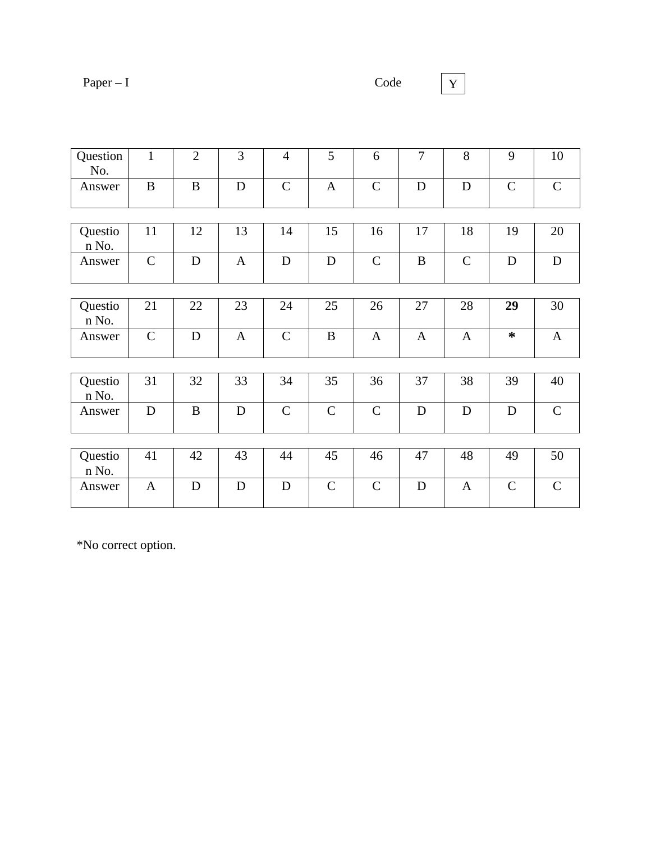|--|--|

 $\boxed{Y}$ 

| Question<br>No.  | $\mathbf{1}$   | $\overline{2}$ | 3            | $\overline{4}$ | 5            | 6            | 7            | 8            | 9            | 10           |
|------------------|----------------|----------------|--------------|----------------|--------------|--------------|--------------|--------------|--------------|--------------|
| Answer           | $\mathbf B$    | B              | ${\bf D}$    | $\mathsf{C}$   | $\mathbf{A}$ | $\mathsf{C}$ | $\mathbf D$  | $\mathbf D$  | $\mathsf{C}$ | $\mathsf{C}$ |
|                  |                |                |              |                |              |              |              |              |              |              |
| Questio<br>n No. | 11             | 12             | 13           | 14             | 15           | 16           | 17           | 18           | 19           | 20           |
| Answer           | $\mathsf{C}$   | $\mathbf D$    | $\mathbf{A}$ | $\mathbf D$    | $\mathbf D$  | $\mathsf{C}$ | $\bf{B}$     | $\mathsf C$  | $\mathbf D$  | $\mathbf D$  |
|                  |                |                |              |                |              |              |              |              |              |              |
| Questio<br>n No. | 21             | 22             | 23           | 24             | 25           | 26           | 27           | 28           | 29           | 30           |
| Answer           | $\overline{C}$ | ${\bf D}$      | $\mathbf{A}$ | $\mathsf{C}$   | $\, {\bf B}$ | $\mathbf{A}$ | $\mathbf{A}$ | $\mathbf{A}$ | ∗            | $\mathbf{A}$ |
|                  |                |                |              |                |              |              |              |              |              |              |
| Questio<br>n No. | 31             | 32             | 33           | 34             | 35           | 36           | 37           | 38           | 39           | 40           |
| Answer           | $\mathbf D$    | B              | $\mathbf D$  | $\mathsf{C}$   | $\mathsf{C}$ | $\mathsf{C}$ | $\mathbf D$  | D            | $\mathbf D$  | $\mathsf{C}$ |
|                  |                |                |              |                |              |              |              |              |              |              |
| Questio<br>n No. | 41             | 42             | 43           | 44             | 45           | 46           | 47           | 48           | 49           | 50           |
| Answer           | $\mathbf{A}$   | D              | D            | D              | $\mathsf{C}$ | $\mathsf{C}$ | D            | $\mathbf{A}$ | $\mathsf{C}$ | $\mathsf C$  |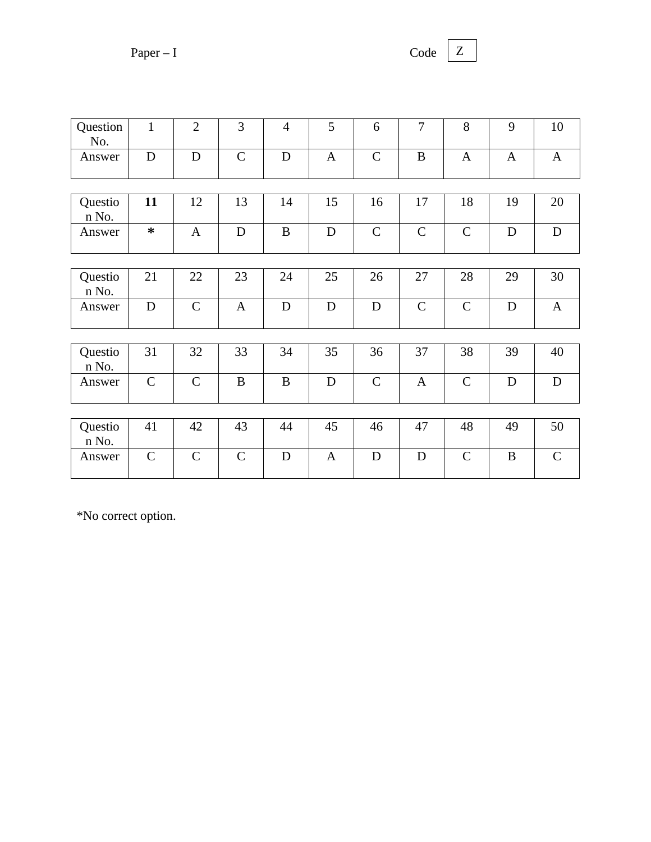$Paper - I$  Co

| .nde |  |
|------|--|
|      |  |

| Question<br>No.  | $\mathbf{1}$ | $\overline{2}$ | 3            | $\overline{4}$ | 5            | 6            | 7            | 8            | 9            | 10           |
|------------------|--------------|----------------|--------------|----------------|--------------|--------------|--------------|--------------|--------------|--------------|
| Answer           | $\mathbf D$  | $\mathbf D$    | $\mathsf{C}$ | $\mathbf D$    | $\mathbf{A}$ | $\mathsf{C}$ | B            | $\mathbf{A}$ | $\mathbf{A}$ | $\mathbf{A}$ |
|                  |              |                |              |                |              |              |              |              |              |              |
| Questio<br>n No. | 11           | 12             | 13           | 14             | 15           | 16           | 17           | 18           | 19           | 20           |
| Answer           | $\ast$       | $\mathbf{A}$   | $\mathbf D$  | $\mathbf B$    | $\mathbf D$  | $\mathsf{C}$ | $\mathsf{C}$ | $\mathsf{C}$ | D            | ${\bf D}$    |
|                  |              |                |              |                |              |              |              |              |              |              |
| Questio<br>n No. | 21           | 22             | 23           | 24             | 25           | 26           | 27           | 28           | 29           | 30           |
| Answer           | $\mathbf D$  | $\mathsf{C}$   | $\mathbf{A}$ | $\mathbf D$    | $\mathbf D$  | $\mathbf D$  | $\mathsf{C}$ | $\mathsf{C}$ | D            | $\mathbf{A}$ |
|                  |              |                |              |                |              |              |              |              |              |              |
| Questio<br>n No. | 31           | 32             | 33           | 34             | 35           | 36           | 37           | 38           | 39           | 40           |
| Answer           | $\mathsf{C}$ | $\mathsf{C}$   | $\mathbf{B}$ | $\mathbf B$    | D            | $\mathsf{C}$ | $\mathbf{A}$ | $\mathsf{C}$ | D            | $\mathbf D$  |
|                  |              |                |              |                |              |              |              |              |              |              |
| Questio<br>n No. | 41           | 42             | 43           | 44             | 45           | 46           | 47           | 48           | 49           | 50           |
| Answer           | $\mathsf{C}$ | $\mathsf{C}$   | $\mathsf{C}$ | D              | $\mathbf{A}$ | D            | D            | $\mathsf{C}$ | B            | $\mathsf{C}$ |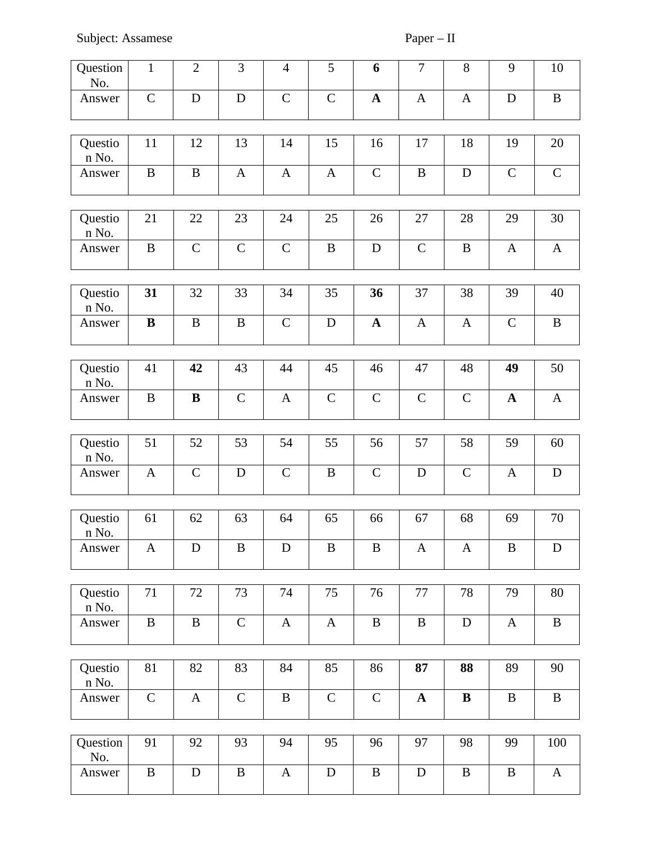| Question<br>No.       | $\mathbf{1}$ | $\overline{2}$ | 3            | $\overline{4}$ | 5            | $6\phantom{1}$ | $\overline{7}$ | $\, 8$       | $9\,$            | 10           |
|-----------------------|--------------|----------------|--------------|----------------|--------------|----------------|----------------|--------------|------------------|--------------|
| Answer                | $\mathsf{C}$ | $\mathbf D$    | $\mathbf D$  | $\mathsf C$    | $\mathsf C$  | $\mathbf{A}$   | $\mathbf{A}$   | $\mathbf{A}$ | D                | $\bf{B}$     |
| Questio<br>n No.      | 11           | 12             | 13           | 14             | 15           | 16             | 17             | 18           | 19               | 20           |
| Answer                | B            | B              | $\mathbf{A}$ | $\mathbf{A}$   | A            | $\mathsf{C}$   | B              | $\mathbf D$  | $\mathsf{C}$     | $\mathsf{C}$ |
| Questio<br>n No.      | 21           | 22             | 23           | 24             | 25           | 26             | 27             | 28           | 29               | 30           |
| Answer                | $\mathbf B$  | $\mathsf C$    | $\mathsf C$  | $\mathsf C$    | $\bf{B}$     | $\mathbf D$    | $\mathsf C$    | $\bf{B}$     | $\boldsymbol{A}$ | $\mathbf{A}$ |
| Questio<br>n No.      | 31           | 32             | 33           | 34             | 35           | 36             | 37             | 38           | 39               | 40           |
| Answer                | $\, {\bf B}$ | B              | $\, {\bf B}$ | $\mathsf C$    | $\mathbf D$  | $\mathbf A$    | $\mathbf{A}$   | A            | $\mathsf C$      | $\bf{B}$     |
| Questio<br>n No.      | 41           | 42             | 43           | 44             | 45           | 46             | 47             | 48           | 49               | 50           |
| Answer                | B            | B              | $\mathsf C$  | $\mathbf{A}$   | $\mathsf C$  | $\mathsf C$    | $\mathsf C$    | $\mathsf C$  | $\mathbf{A}$     | $\mathbf{A}$ |
| Questio<br>n No.      | 51           | 52             | 53           | 54             | 55           | 56             | 57             | 58           | 59               | 60           |
| Answer                | $\mathbf{A}$ | $\mathsf{C}$   | $\mathbf D$  | $\mathsf C$    | B            | $\mathsf C$    | $\mathbf D$    | $\mathsf C$  | $\mathbf{A}$     | ${\bf D}$    |
| Questio<br>$\,$ n No. | 61           | 62             | 63           | 64             | 65           | 66             | 67             | 68           | 69               | 70           |
| Answer                | $\mathbf{A}$ | D              | B            | $\mathbf D$    | B            | B              | A              | A            | B                | D            |
| Questio<br>n No.      | 71           | 72             | 73           | 74             | 75           | 76             | 77             | 78           | 79               | 80           |
| Answer                | $\, {\bf B}$ | $\bf{B}$       | $\mathsf{C}$ | $\mathbf{A}$   | $\mathbf{A}$ | $\mathbf B$    | $\bf{B}$       | ${\bf D}$    | $\mathbf{A}$     | $\, {\bf B}$ |
| Questio<br>n No.      | 81           | 82             | 83           | 84             | 85           | 86             | 87             | 88           | 89               | 90           |
| Answer                | $\mathsf{C}$ | $\mathbf{A}$   | $\mathsf{C}$ | $\bf{B}$       | $\mathsf C$  | $\mathsf{C}$   | $\mathbf{A}$   | $\bf{B}$     | B                | $\, {\bf B}$ |
| Question<br>No.       | 91           | 92             | 93           | 94             | 95           | 96             | 97             | 98           | 99               | 100          |
| Answer                | B            | $\mathbf D$    | $\, {\bf B}$ | $\mathbf{A}$   | ${\bf D}$    | $\, {\bf B}$   | $\mathbf D$    | $\, {\bf B}$ | $\bf{B}$         | $\mathbf{A}$ |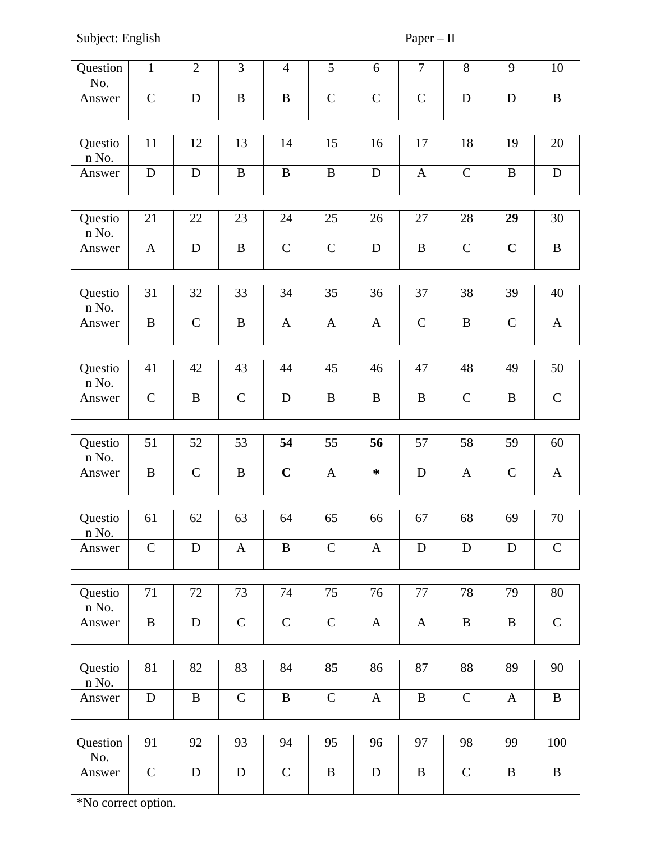Subject: English Paper – II

| Question<br>No.  | $\mathbf{1}$ | $\overline{2}$ | 3            | $\overline{4}$ | 5            | 6            | $\overline{7}$ | 8            | $9\,$        | 10           |
|------------------|--------------|----------------|--------------|----------------|--------------|--------------|----------------|--------------|--------------|--------------|
| Answer           | $\mathsf C$  | D              | $\mathbf B$  | $\mathbf B$    | $\mathsf C$  | $\mathsf C$  | $\mathsf C$    | $\mathbf D$  | D            | $\mathbf B$  |
| Questio<br>n No. | 11           | 12             | 13           | 14             | 15           | 16           | 17             | 18           | 19           | 20           |
| Answer           | $\mathbf D$  | D              | $\, {\bf B}$ | $\, {\bf B}$   | B            | $\mathbf D$  | $\mathbf{A}$   | $\mathsf C$  | $\mathbf B$  | D            |
| Questio<br>n No. | 21           | 22             | 23           | 24             | 25           | 26           | 27             | 28           | 29           | 30           |
| Answer           | $\mathbf{A}$ | D              | $\mathbf B$  | $\mathsf C$    | $\mathsf C$  | $\mathbf D$  | $\bf{B}$       | $\mathsf C$  | $\mathbf C$  | $\bf{B}$     |
| Questio<br>n No. | 31           | 32             | 33           | 34             | 35           | 36           | 37             | 38           | 39           | 40           |
| Answer           | $\, {\bf B}$ | $\mathsf C$    | $\, {\bf B}$ | $\mathbf{A}$   | $\mathbf{A}$ | $\mathbf{A}$ | $\mathsf C$    | $\, {\bf B}$ | $\mathsf C$  | $\mathbf{A}$ |
| Questio<br>n No. | 41           | 42             | 43           | 44             | 45           | 46           | 47             | 48           | 49           | 50           |
| Answer           | $\mathsf{C}$ | $\bf{B}$       | $\mathsf{C}$ | $\mathbf D$    | B            | B            | $\bf{B}$       | $\mathsf{C}$ | B            | $\mathsf{C}$ |
| Questio<br>n No. | 51           | 52             | 53           | 54             | 55           | 56           | 57             | 58           | 59           | 60           |
| Answer           | $\bf{B}$     | $\mathsf C$    | $\, {\bf B}$ | $\mathbf C$    | $\mathbf{A}$ | $\ast$       | $\mathbf D$    | $\mathbf{A}$ | $\mathsf C$  | $\mathbf{A}$ |
| Questio<br>n No. | 61           | 62             | 63           | 64             | 65           | 66           | 67             | 68           | 69           | 70           |
| Answer           | $\mathsf C$  | $\mathbf D$    | $\mathbf{A}$ | $\, {\bf B}$   | $\mathsf C$  | $\mathbf{A}$ | ${\bf D}$      | ${\bf D}$    | $\mathbf D$  | $\mathsf C$  |
| Questio<br>n No. | 71           | 72             | 73           | 74             | 75           | 76           | 77             | 78           | 79           | 80           |
| Answer           | $\bf{B}$     | $\mathbf D$    | $\mathsf{C}$ | $\mathsf C$    | $\mathsf C$  | $\mathbf{A}$ | $\mathbf{A}$   | $\, {\bf B}$ | $\, {\bf B}$ | $\mathsf C$  |
| Questio<br>n No. | 81           | 82             | 83           | 84             | 85           | 86           | 87             | 88           | 89           | 90           |
| Answer           | $\mathbf D$  | $\bf{B}$       | $\mathsf{C}$ | $\mathbf B$    | $\mathsf C$  | $\mathbf{A}$ | $\bf{B}$       | $\mathsf C$  | $\mathbf{A}$ | $\bf{B}$     |
| Question<br>No.  | 91           | 92             | 93           | 94             | 95           | 96           | 97             | 98           | 99           | 100          |
| Answer           | $\mathsf C$  | ${\bf D}$      | ${\bf D}$    | $\mathsf{C}$   | $\, {\bf B}$ | ${\bf D}$    | $\, {\bf B}$   | $\mathsf C$  | $\, {\bf B}$ | $\bf{B}$     |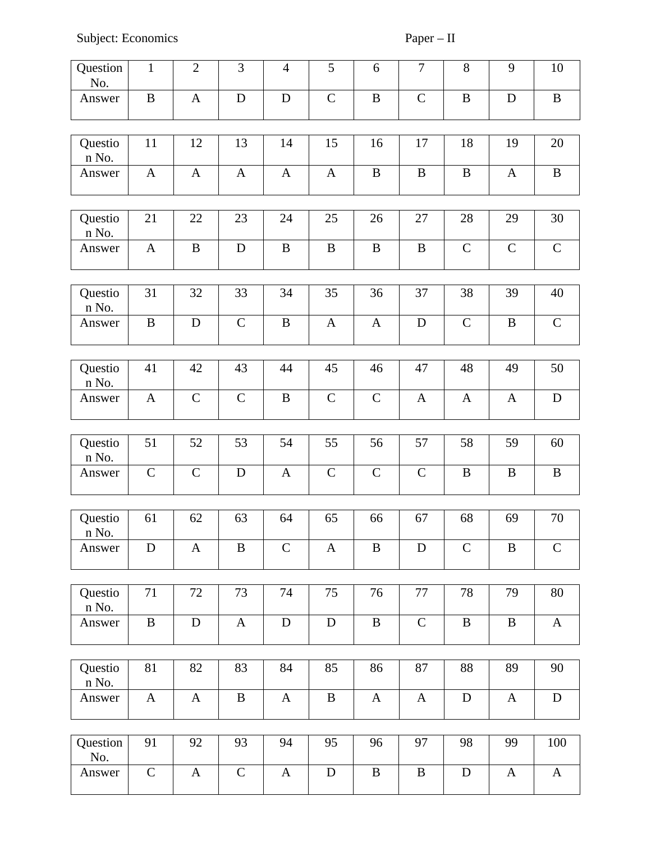Subject: Economics Paper – II

| Question<br>No.  | $\mathbf{1}$  | $\overline{2}$ | 3            | $\overline{4}$ | 5            | 6            | $\overline{7}$ | 8            | 9            | 10           |
|------------------|---------------|----------------|--------------|----------------|--------------|--------------|----------------|--------------|--------------|--------------|
| Answer           | $\bf{B}$      | $\mathbf{A}$   | $\mathbf D$  | $\mathbf D$    | $\mathsf C$  | $\, {\bf B}$ | $\mathsf{C}$   | $\mathbf B$  | $\mathbf D$  | $\, {\bf B}$ |
| Questio<br>n No. | 11            | 12             | 13           | 14             | 15           | 16           | 17             | 18           | 19           | 20           |
| Answer           | $\mathbf{A}$  | $\mathbf{A}$   | $\mathbf{A}$ | $\mathbf{A}$   | $\mathbf{A}$ | $\mathbf B$  | $\bf{B}$       | $\mathbf B$  | $\mathbf{A}$ | $\, {\bf B}$ |
| Questio<br>n No. | 21            | 22             | 23           | 24             | 25           | 26           | 27             | 28           | 29           | 30           |
| Answer           | $\mathbf{A}$  | $\mathbf B$    | $\mathbf D$  | $\mathbf B$    | $\bf{B}$     | $\mathbf B$  | $\bf{B}$       | $\mathsf C$  | $\mathsf{C}$ | $\mathsf C$  |
| Questio<br>n No. | 31            | 32             | 33           | 34             | 35           | 36           | 37             | 38           | 39           | 40           |
| Answer           | $\bf{B}$      | D              | $\mathsf{C}$ | $\mathbf B$    | $\mathbf{A}$ | $\mathbf{A}$ | D              | $\mathsf C$  | B            | $\mathsf C$  |
| Questio<br>n No. | 41            | 42             | 43           | 44             | 45           | 46           | 47             | 48           | 49           | 50           |
| Answer           | $\mathbf{A}$  | $\mathsf C$    | $\mathsf C$  | $\, {\bf B}$   | $\mathsf C$  | $\mathsf C$  | A              | $\mathbf{A}$ | $\mathbf{A}$ | $\mathbf D$  |
| Questio          | 51            | 52             | 53           | 54             | 55           | 56           | 57             | 58           | 59           | 60           |
| n No.            |               |                |              |                |              |              |                |              |              |              |
| Answer           | $\mathsf C$   | $\mathsf C$    | $\mathbf D$  | $\mathbf{A}$   | $\mathsf C$  | $\mathsf C$  | $\mathsf C$    | $\bf{B}$     | B            | $\, {\bf B}$ |
| Questio<br>n No. | 61            | 62             | 63           | 64             | 65           | 66           | 67             | 68           | 69           | 70           |
| Answer           | $\mathbf D$   | $\mathbf{A}$   | $\, {\bf B}$ | $\mathsf C$    | $\mathbf{A}$ | $\mathbf B$  | $\mathbf D$    | $\mathsf C$  | $\bf{B}$     | $\mathsf C$  |
| Questio          | 71            | 72             | 73           | 74             | 75           | 76           | 77             | 78           | 79           | 80           |
| n No.            |               |                |              |                |              |              |                |              |              |              |
| Answer           | $\, {\bf B}$  | ${\bf D}$      | $\mathbf{A}$ | ${\bf D}$      | ${\bf D}$    | $\, {\bf B}$ | $\mathsf C$    | $\, {\bf B}$ | $\mathbf B$  | $\mathbf{A}$ |
| Questio          | 81            | 82             | 83           | 84             | 85           | 86           | 87             | 88           | 89           | 90           |
| n No.            |               |                |              |                |              |              |                |              |              |              |
| Answer           | $\mathbf{A}$  | $\mathbf{A}$   | $\mathbf B$  | $\mathbf{A}$   | $\, {\bf B}$ | $\mathbf{A}$ | $\mathbf{A}$   | $\mathbf D$  | $\mathbf{A}$ | ${\rm D}$    |
| Question         | 91            | 92             | 93           | 94             | 95           | 96           | 97             | 98           | 99           | 100          |
| No.              |               |                |              |                |              |              |                |              |              |              |
| Answer           | ${\mathsf C}$ | $\mathbf{A}$   | $\mathsf C$  | $\mathbf{A}$   | ${\bf D}$    | $\mathbf B$  | $\bf{B}$       | $\mathbf D$  | $\mathbf{A}$ | $\mathbf{A}$ |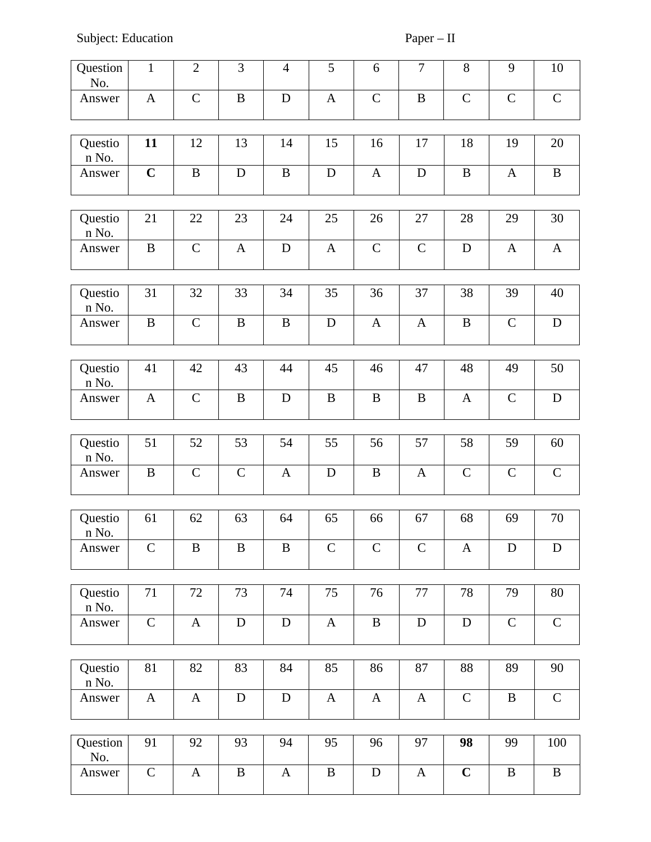Subject: Education Paper – II

| Question<br>No.       | $\mathbf{1}$ | $\overline{2}$ | 3                | $\overline{4}$ | 5            | 6            | $\overline{7}$ | $\, 8$       | 9            | $10\,$        |
|-----------------------|--------------|----------------|------------------|----------------|--------------|--------------|----------------|--------------|--------------|---------------|
| Answer                | $\mathbf{A}$ | $\mathsf{C}$   | $\boldsymbol{B}$ | D              | $\mathbf{A}$ | $\mathsf{C}$ | $\mathbf B$    | $\mathsf{C}$ | $\mathsf{C}$ | $\mathsf C$   |
|                       |              |                |                  |                |              |              |                |              |              |               |
| Questio<br>n No.      | 11           | 12             | 13               | 14             | 15           | 16           | 17             | 18           | 19           | 20            |
| Answer                | $\mathbf C$  | B              | D                | $\bf{B}$       | D            | $\mathbf{A}$ | $\mathbf D$    | B            | $\mathbf{A}$ | $\bf{B}$      |
|                       |              |                |                  |                |              |              |                |              |              |               |
| Questio<br>n No.      | 21           | 22             | 23               | 24             | 25           | 26           | 27             | 28           | 29           | 30            |
| Answer                | $\mathbf B$  | $\mathsf{C}$   | $\mathbf{A}$     | ${\bf D}$      | $\mathbf{A}$ | $\mathsf{C}$ | $\mathsf{C}$   | $\mathbf D$  | $\mathbf{A}$ | $\mathbf{A}$  |
|                       |              |                |                  |                |              |              |                |              |              |               |
| Questio<br>n No.      | 31           | 32             | 33               | 34             | 35           | 36           | 37             | 38           | 39           | 40            |
| Answer                | $\mathbf B$  | $\mathsf{C}$   | $\bf{B}$         | $\bf{B}$       | $\mathbf D$  | $\mathbf{A}$ | A              | $\bf{B}$     | $\mathsf C$  | ${\bf D}$     |
|                       |              |                |                  |                |              |              |                |              |              |               |
| Questio<br>n No.      | 41           | 42             | 43               | 44             | 45           | 46           | 47             | 48           | 49           | 50            |
| Answer                | $\mathbf{A}$ | $\mathsf{C}$   | $\bf{B}$         | D              | B            | $\mathbf B$  | $\, {\bf B}$   | $\mathbf{A}$ | $\mathsf{C}$ | ${\bf D}$     |
|                       |              |                |                  |                |              |              |                |              |              |               |
| Questio<br>n No.      | 51           | 52             | 53               | 54             | 55           | 56           | 57             | 58           | 59           | 60            |
| Answer                | B            | $\mathsf{C}$   | $\mathsf C$      | $\mathbf{A}$   | D            | $\mathbf B$  | A              | $\mathsf{C}$ | $\mathsf C$  | ${\mathsf C}$ |
|                       |              |                |                  |                |              |              |                |              |              |               |
| Questio<br>$\,$ n No. | 61           | 62             | 63               | 64             | 65           | 66           | 67             | 68           | 69           | 70            |
| Answer                | $\mathsf{C}$ | B              | B                | $\mathbf B$    | $\mathsf{C}$ | $\mathsf{C}$ | $\mathsf C$    | $\mathbf{A}$ | D            | ${\bf D}$     |
|                       |              |                |                  |                |              |              |                |              |              |               |
| Questio<br>n No.      | 71           | 72             | 73               | 74             | 75           | 76           | 77             | 78           | 79           | 80            |
| Answer                | ${\bf C}$    | $\mathbf{A}$   | ${\bf D}$        | ${\bf D}$      | $\mathbf{A}$ | $\, {\bf B}$ | $\mathbf D$    | ${\bf D}$    | $\mathsf C$  | $\mathsf C$   |
|                       |              |                |                  |                |              |              |                |              |              |               |
| Questio<br>n No.      | 81           | 82             | 83               | 84             | 85           | 86           | 87             | 88           | 89           | 90            |
| Answer                | $\mathbf{A}$ | $\mathbf{A}$   | D                | $\mathbf D$    | $\mathbf{A}$ | $\mathbf{A}$ | $\mathbf{A}$   | $\mathsf{C}$ | B            | $\mathsf{C}$  |
|                       |              |                |                  |                |              |              |                |              |              |               |
| Question<br>No.       | 91           | 92             | 93               | 94             | 95           | 96           | 97             | 98           | 99           | 100           |
| Answer                | $\mathsf{C}$ | A              | $\, {\bf B}$     | $\mathbf{A}$   | B            | $\mathbf D$  | A              | $\mathbf C$  | $\bf{B}$     | $\mathbf B$   |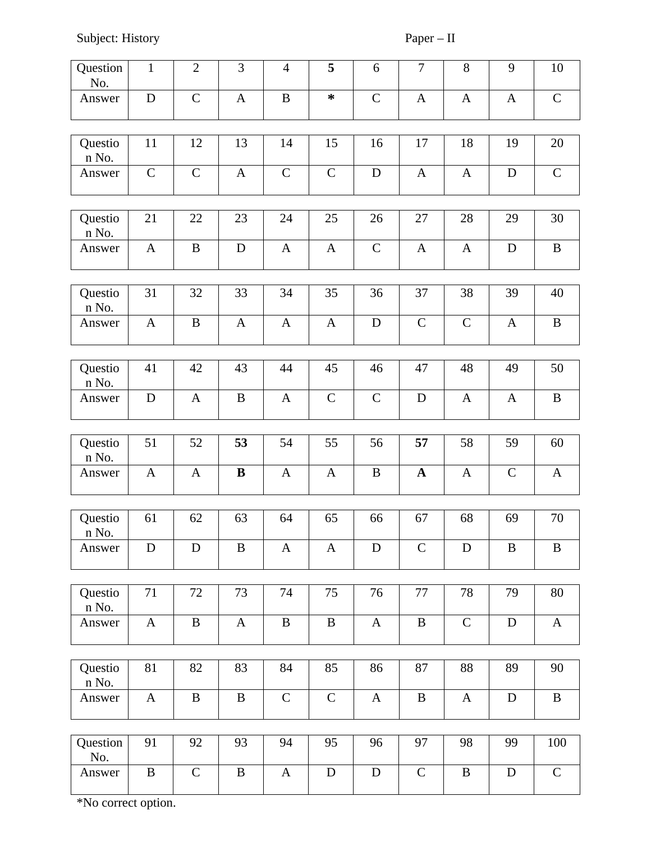Subject: History Paper – II

| Question<br>No.  | $\mathbf{1}$ | $\overline{2}$ | 3            | $\overline{4}$ | 5            | 6            | $\overline{7}$ | 8                | 9            | $10\,$       |
|------------------|--------------|----------------|--------------|----------------|--------------|--------------|----------------|------------------|--------------|--------------|
| Answer           | D            | $\mathsf C$    | $\mathbf{A}$ | $\mathbf B$    | ∗            | $\mathsf{C}$ | $\mathbf{A}$   | $\mathbf{A}$     | $\mathbf{A}$ | $\mathsf{C}$ |
| Questio<br>n No. | 11           | 12             | 13           | 14             | 15           | 16           | 17             | 18               | 19           | 20           |
| Answer           | $\mathsf C$  | $\mathsf C$    | $\mathbf{A}$ | $\mathsf C$    | $\mathsf C$  | $\mathbf D$  | $\mathbf{A}$   | A                | $\mathbf D$  | $\mathsf C$  |
| Questio<br>n No. | 21           | 22             | 23           | 24             | 25           | 26           | 27             | 28               | 29           | 30           |
| Answer           | $\mathbf{A}$ | $\bf{B}$       | ${\bf D}$    | $\mathbf{A}$   | $\mathbf{A}$ | $\mathsf C$  | $\mathbf{A}$   | $\boldsymbol{A}$ | D            | $\, {\bf B}$ |
| Questio<br>n No. | 31           | 32             | 33           | 34             | 35           | 36           | 37             | 38               | 39           | 40           |
| Answer           | $\mathbf{A}$ | $\, {\bf B}$   | $\mathbf{A}$ | $\mathbf{A}$   | $\mathbf{A}$ | $\mathbf D$  | $\mathsf C$    | $\mathsf C$      | $\mathbf{A}$ | $\bf{B}$     |
| Questio<br>n No. | 41           | 42             | 43           | 44             | 45           | 46           | 47             | 48               | 49           | 50           |
| Answer           | $\mathbf D$  | A              | $\mathbf B$  | $\mathbf{A}$   | $\mathsf C$  | $\mathsf C$  | $\mathbf D$    | $\mathbf{A}$     | $\mathbf{A}$ | $\, {\bf B}$ |
|                  |              |                |              |                |              |              |                |                  |              |              |
| Questio<br>n No. | 51           | 52             | 53           | 54             | 55           | 56           | 57             | 58               | 59           | 60           |
| Answer           | $\mathbf{A}$ | $\mathbf{A}$   | $\, {\bf B}$ | $\mathbf{A}$   | $\mathbf{A}$ | $\, {\bf B}$ | $\mathbf{A}$   | $\mathbf{A}$     | $\mathsf C$  | $\mathbf{A}$ |
| Questio          | 61           | 62             | 63           | 64             | 65           | 66           | 67             | 68               | 69           | 70           |
| n No.            |              |                |              |                |              |              |                |                  |              |              |
| Answer           | $\mathbf D$  | $\mathbf D$    | $\, {\bf B}$ | $\mathbf{A}$   | $\mathbf{A}$ | $\mathbf D$  | $\mathsf C$    | ${\bf D}$        | $\bf{B}$     | $\, {\bf B}$ |
|                  |              |                |              |                |              |              |                |                  |              |              |
| Questio<br>n No. | 71           | 72             | 73           | 74             | 75           | 76           | 77             | 78               | 79           | 80           |
| Answer           | $\mathbf{A}$ | $\, {\bf B}$   | $\mathbf{A}$ | $\, {\bf B}$   | $\, {\bf B}$ | $\mathbf{A}$ | $\, {\bf B}$   | $\mathsf C$      | $\mathbf D$  | $\bf{A}$     |
| Questio          | 81           | 82             | 83           | 84             | 85           | 86           | 87             | 88               | 89           | 90           |
| n No.<br>Answer  | $\mathbf{A}$ | $\bf{B}$       | $\mathbf B$  | $\mathsf C$    | $\mathsf C$  | $\mathbf{A}$ | $\bf{B}$       | $\boldsymbol{A}$ | D            | $\bf{B}$     |
|                  |              |                |              |                |              |              |                |                  |              |              |
| Question<br>No.  | 91           | 92             | 93           | 94             | 95           | 96           | 97             | 98               | 99           | 100          |
| Answer           | $\mathbf B$  | $\mathsf{C}$   | $\, {\bf B}$ | $\mathbf{A}$   | ${\bf D}$    | ${\bf D}$    | $\mathsf C$    | $\, {\bf B}$     | $\mathbf D$  | ${\bf C}$    |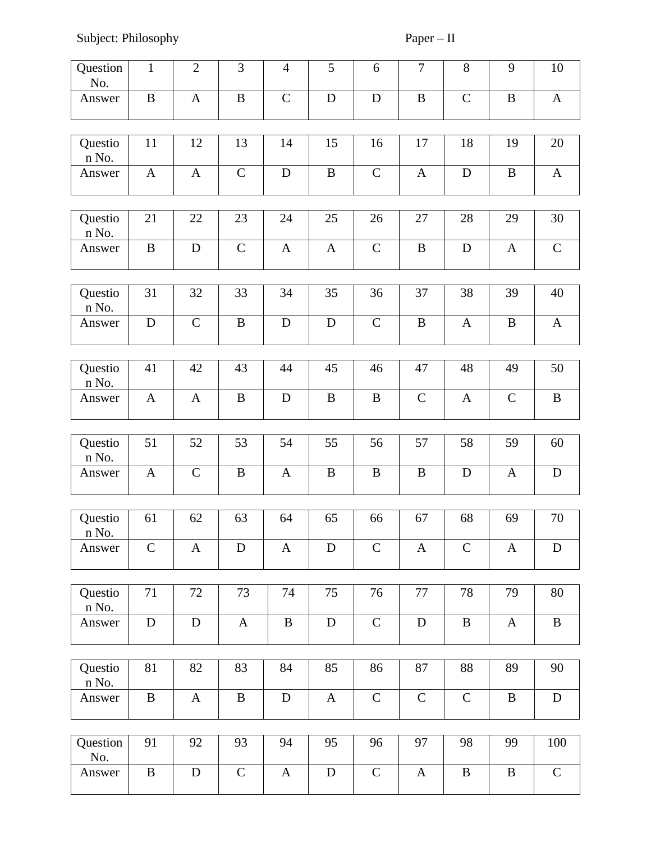Subject: Philosophy Paper – II

| Question<br>No.            | $\mathbf{1}$ | $\overline{2}$ | 3            | $\overline{4}$ | 5            | 6            | $\overline{7}$ | 8            | $9\,$            | 10           |
|----------------------------|--------------|----------------|--------------|----------------|--------------|--------------|----------------|--------------|------------------|--------------|
| Answer                     | $\bf{B}$     | $\mathbf{A}$   | $\mathbf B$  | $\mathsf C$    | $\mathbf D$  | D            | $\, {\bf B}$   | $\mathsf C$  | $\mathbf B$      | $\mathbf{A}$ |
| Questio<br>n No.           | 11           | 12             | 13           | 14             | 15           | 16           | 17             | 18           | 19               | 20           |
| Answer                     | $\mathbf{A}$ | $\mathbf{A}$   | $\mathsf C$  | $\mathbf D$    | B            | $\mathsf{C}$ | $\mathbf{A}$   | $\mathbf D$  | $\mathbf B$      | $\mathbf{A}$ |
| Questio                    | 21           | 22             | 23           | 24             | 25           | 26           | 27             | 28           | 29               | 30           |
| n No.                      |              |                |              |                |              |              |                |              |                  |              |
| Answer                     | $\, {\bf B}$ | $\mathbf D$    | $\mathsf C$  | $\mathbf{A}$   | $\mathbf{A}$ | $\mathsf C$  | $\, {\bf B}$   | $\mathbf D$  | $\mathbf{A}$     | $\mathsf C$  |
| Questio<br>n No.           | 31           | 32             | 33           | 34             | 35           | 36           | 37             | 38           | 39               | 40           |
| Answer                     | $\mathbf D$  | $\mathsf C$    | $\, {\bf B}$ | $\mathbf D$    | $\mathbf D$  | $\mathsf C$  | $\, {\bf B}$   | A            | $\bf{B}$         | A            |
| Questio                    | 41           | 42             | 43           | 44             | 45           | 46           | 47             | 48           | 49               | 50           |
| n No.                      |              |                |              |                |              |              |                |              |                  |              |
| Answer                     | $\mathbf{A}$ | $\mathbf{A}$   | $\mathbf B$  | ${\bf D}$      | $\, {\bf B}$ | $\bf{B}$     | $\mathsf C$    | $\mathbf{A}$ | $\mathsf C$      | $\, {\bf B}$ |
| Questio<br>n No.           | 51           | 52             | 53           | 54             | 55           | 56           | 57             | 58           | 59               | 60           |
| Answer                     | $\mathbf{A}$ | $\mathsf C$    | $\bf{B}$     | $\mathbf{A}$   | $\bf{B}$     | $\mathbf B$  | B              | $\mathbf D$  | $\mathbf{A}$     | $\mathbf D$  |
|                            | 61           | 62             | 63           | 64             | 65           | 66           | 67             | 68           | 69               | 70           |
| Questio<br>$\mathbf n$ No. |              |                |              |                |              |              |                |              |                  |              |
| Answer                     | $\mathsf C$  | $\mathbf{A}$   | D            | $\mathbf{A}$   | D            | $\mathsf{C}$ | $\mathbf{A}$   | $\mathsf C$  | $\mathbf{A}$     | D            |
| Questio                    | 71           | 72             | 73           | 74             | 75           | 76           | 77             | 78           | 79               | 80           |
| n No.<br>Answer            | ${\bf D}$    | $\mathbf D$    | $\mathbf{A}$ | $\, {\bf B}$   | ${\bf D}$    | $\mathsf C$  | ${\bf D}$      | $\, {\bf B}$ | $\boldsymbol{A}$ | $\, {\bf B}$ |
|                            |              |                |              |                |              |              |                |              |                  |              |
| Questio<br>n No.           | 81           | 82             | 83           | 84             | 85           | 86           | 87             | 88           | 89               | 90           |
| Answer                     | $\, {\bf B}$ | $\mathbf{A}$   | $\, {\bf B}$ | ${\bf D}$      | $\mathbf{A}$ | ${\bf C}$    | $\mathsf C$    | $\mathsf C$  | $\mathbf B$      | ${\bf D}$    |
| Question                   | 91           | 92             | 93           | 94             | 95           | 96           | 97             | 98           | 99               | 100          |
| No.                        |              |                |              |                |              |              |                |              |                  |              |
| Answer                     | B            | $\mathbf D$    | $\mathsf{C}$ | $\mathbf{A}$   | $\mathbf D$  | $\mathsf{C}$ | $\mathbf{A}$   | $\bf{B}$     | $\bf{B}$         | $\mathsf C$  |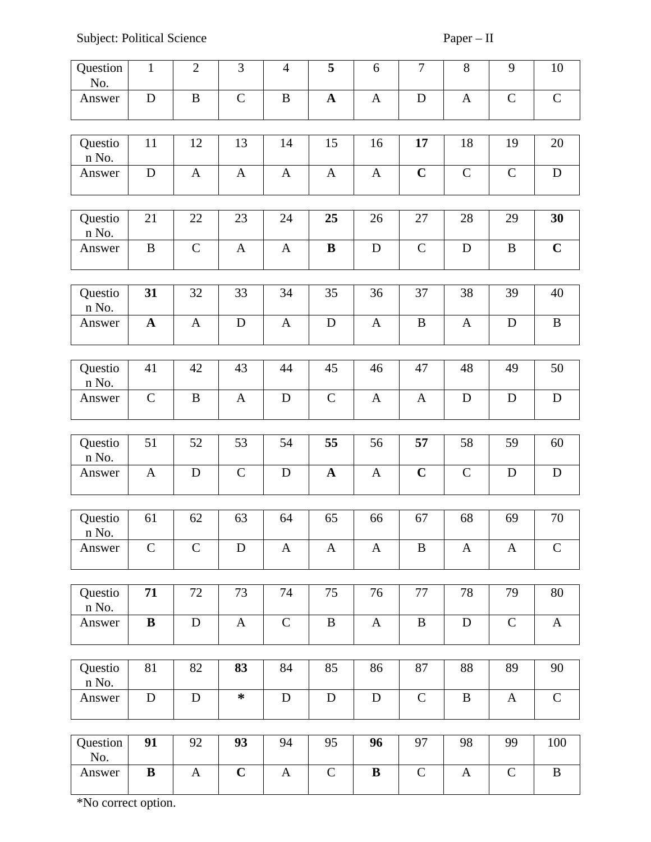Subject: Political Science Paper – II

| Question<br>No.       | $\mathbf{1}$ | $\overline{2}$ | 3            | $\overline{4}$ | 5            | 6            | $\overline{7}$ | 8                | $\overline{9}$   | 10           |
|-----------------------|--------------|----------------|--------------|----------------|--------------|--------------|----------------|------------------|------------------|--------------|
| Answer                | ${\bf D}$    | $\bf{B}$       | $\mathsf{C}$ | $\bf{B}$       | $\mathbf A$  | $\mathbf{A}$ | $\mathbf D$    | $\mathbf{A}$     | $\mathsf{C}$     | $\mathsf C$  |
|                       |              |                |              |                |              |              |                |                  |                  |              |
| Questio<br>n No.      | 11           | 12             | 13           | 14             | 15           | 16           | 17             | 18               | 19               | 20           |
| Answer                | $\mathbf D$  | $\mathbf{A}$   | $\mathbf{A}$ | $\mathbf{A}$   | $\mathbf{A}$ | $\mathbf{A}$ | $\mathbf C$    | $\mathsf C$      | $\mathsf{C}$     | D            |
|                       |              |                |              |                |              |              |                |                  |                  |              |
| Questio<br>n No.      | 21           | 22             | 23           | 24             | 25           | 26           | 27             | 28               | 29               | 30           |
| Answer                | $\, {\bf B}$ | $\mathsf C$    | $\mathbf{A}$ | $\mathbf{A}$   | $\bf{B}$     | $\mathbf D$  | ${\bf C}$      | $\mathbf D$      | B                | $\mathbf C$  |
|                       |              |                |              |                |              |              |                |                  |                  |              |
| Questio<br>n No.      | 31           | 32             | 33           | 34             | 35           | 36           | 37             | 38               | 39               | 40           |
| Answer                | $\mathbf A$  | $\mathbf{A}$   | $\mathbf D$  | $\mathbf{A}$   | $\mathbf D$  | $\mathbf{A}$ | $\mathbf{B}$   | $\mathbf{A}$     | D                | $\, {\bf B}$ |
|                       |              |                |              |                |              |              |                |                  |                  |              |
| Questio<br>n No.      | 41           | 42             | 43           | 44             | 45           | 46           | 47             | 48               | 49               | 50           |
| Answer                | $\mathsf C$  | $\, {\bf B}$   | $\mathbf{A}$ | ${\bf D}$      | $\mathsf C$  | $\mathbf{A}$ | $\mathbf{A}$   | ${\bf D}$        | D                | $\mathbf D$  |
|                       |              |                |              |                |              |              |                |                  |                  |              |
| Questio<br>n No.      | 51           | 52             | 53           | 54             | 55           | 56           | 57             | 58               | 59               | 60           |
| Answer                | $\mathbf{A}$ | D              | $\mathsf{C}$ | ${\bf D}$      | $\mathbf A$  | $\mathbf{A}$ | $\mathbf C$    | $\mathsf C$      | D                | $\mathbf D$  |
|                       |              |                |              |                |              |              |                |                  |                  |              |
| Questio<br>$\,$ n No. | 61           | 62             | 63           | 64             | 65           | 66           | 67             | 68               | 69               | 70           |
| Answer                | $\mathsf{C}$ | $\mathsf{C}$   | D            | $\mathbf{A}$   | $\mathbf{A}$ | $\mathbf{A}$ | B              | $\boldsymbol{A}$ | $\boldsymbol{A}$ | $\mathsf{C}$ |
|                       |              |                |              |                |              |              |                |                  |                  |              |
| Questio<br>n No.      | 71           | 72             | 73           | 74             | 75           | 76           | 77             | 78               | 79               | 80           |
| Answer                | $\, {\bf B}$ | ${\bf D}$      | $\mathbf{A}$ | $\mathsf C$    | $\, {\bf B}$ | $\mathbf{A}$ | $\bf{B}$       | $\mathbf D$      | $\mathsf C$      | $\mathbf{A}$ |
|                       |              |                |              |                |              |              |                |                  |                  |              |
| Questio<br>n No.      | 81           | 82             | 83           | 84             | 85           | 86           | 87             | 88               | 89               | 90           |
| Answer                | ${\bf D}$    | $\mathbf D$    | $\ast$       | ${\bf D}$      | $\mathbf D$  | $\mathbf D$  | ${\bf C}$      | $\, {\bf B}$     | $\mathbf{A}$     | ${\bf C}$    |
|                       |              |                |              |                |              |              |                |                  |                  |              |
| Question<br>No.       | 91           | 92             | 93           | 94             | 95           | 96           | 97             | 98               | 99               | 100          |
| Answer                | $\, {\bf B}$ | $\mathbf{A}$   | $\mathbf C$  | $\mathbf{A}$   | ${\bf C}$    | $\bf{B}$     | $\mathsf C$    | $\mathbf{A}$     | $\mathsf C$      | $\, {\bf B}$ |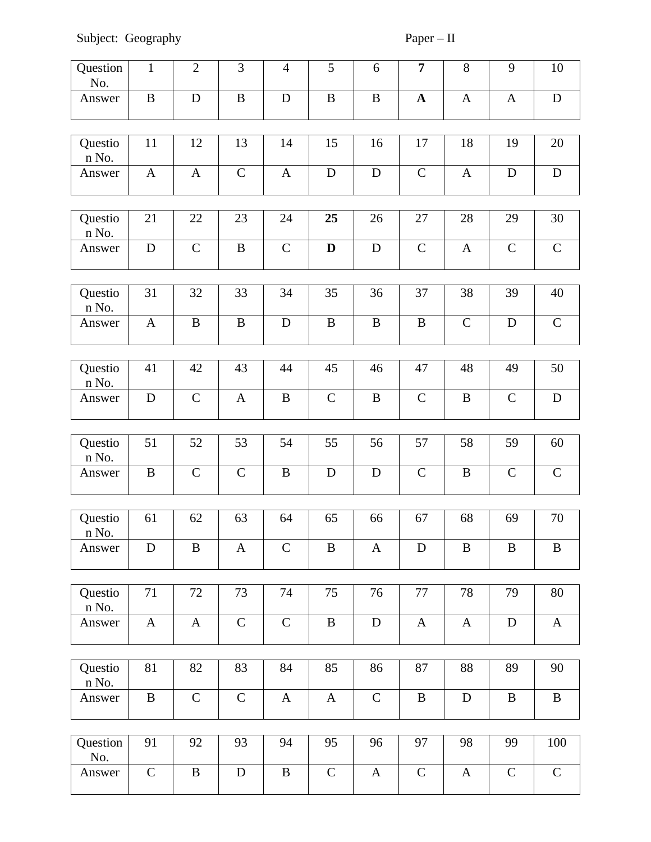Subject: Geography Paper – II

| Question<br>No.  | $\mathbf{1}$              | $\overline{2}$ | 3            | $\overline{4}$ | 5             | 6            | $\overline{7}$ | 8            | $9$          | 10            |
|------------------|---------------------------|----------------|--------------|----------------|---------------|--------------|----------------|--------------|--------------|---------------|
| Answer           | $\, {\bf B}$              | $\mathbf D$    | $\bf{B}$     | ${\bf D}$      | $\, {\bf B}$  | $\, {\bf B}$ | $\mathbf{A}$   | $\mathbf{A}$ | $\mathbf{A}$ | $\mathbf D$   |
| Questio<br>n No. | 11                        | 12             | 13           | 14             | 15            | 16           | 17             | 18           | 19           | 20            |
| Answer           | $\mathbf{A}$              | $\mathbf{A}$   | $\mathsf C$  | $\mathbf{A}$   | $\mathbf D$   | $\mathbf D$  | $\mathsf C$    | $\mathbf{A}$ | D            | ${\bf D}$     |
| Questio<br>n No. | 21                        | 22             | 23           | 24             | 25            | 26           | 27             | 28           | 29           | 30            |
| Answer           | ${\bf D}$                 | $\mathsf C$    | $\mathbf B$  | $\mathsf C$    | $\mathbf D$   | $\mathbf D$  | $\mathsf C$    | $\mathbf{A}$ | $\mathsf C$  | $\mathsf C$   |
| Questio<br>n No. | 31                        | 32             | 33           | 34             | 35            | 36           | 37             | 38           | 39           | 40            |
| Answer           | $\boldsymbol{\mathrm{A}}$ | $\, {\bf B}$   | $\mathbf B$  | $\mathbf D$    | $\, {\bf B}$  | $\mathbf B$  | $\, {\bf B}$   | $\mathsf C$  | $\mathbf D$  | $\mathsf C$   |
| Questio<br>n No. | 41                        | 42             | 43           | 44             | 45            | 46           | 47             | 48           | 49           | 50            |
| Answer           | $\mathbf D$               | $\mathsf C$    | $\mathbf{A}$ | $\, {\bf B}$   | $\mathsf C$   | $\, {\bf B}$ | $\mathsf C$    | $\, {\bf B}$ | $\mathsf C$  | ${\bf D}$     |
|                  |                           |                |              |                |               |              |                |              |              |               |
| Questio<br>n No. | 51                        | 52             | 53           | 54             | 55            | 56           | 57             | 58           | 59           | 60            |
| Answer           | $\, {\bf B}$              | $\mathsf C$    | $\mathsf C$  | $\, {\bf B}$   | $\mathbf D$   | $\mathbf D$  | $\mathsf C$    | $\, {\bf B}$ | $\mathsf C$  | ${\mathsf C}$ |
| Questio<br>n No. | 61                        | 62             | 63           | 64             | 65            | 66           | 67             | 68           | 69           | 70            |
| Answer           | D                         | B              | $\mathbf{A}$ | $\mathsf C$    | $\bf{B}$      | $\mathbf{A}$ | D              | $\bf{B}$     | B            | B             |
|                  |                           |                |              |                |               |              |                |              |              |               |
| Questio<br>n No. | 71                        | 72             | 73           | 74             | 75            | 76           | 77             | 78           | 79           | 80            |
| Answer           | $\mathbf{A}$              | $\mathbf{A}$   | $\mathsf{C}$ | $\mathsf C$    | $\, {\bf B}$  | ${\bf D}$    | $\mathbf{A}$   | $\mathbf{A}$ | $\mathbf D$  | $\mathbf{A}$  |
| Questio<br>n No. | 81                        | 82             | 83           | 84             | 85            | 86           | 87             | 88           | 89           | 90            |
| Answer           | $\, {\bf B}$              | $\mathsf C$    | $\mathsf C$  | $\mathbf{A}$   | $\mathbf{A}$  | ${\bf C}$    | $\, {\bf B}$   | ${\bf D}$    | $\mathbf B$  | $\, {\bf B}$  |
| Question<br>No.  | 91                        | 92             | 93           | 94             | 95            | 96           | 97             | 98           | 99           | 100           |
| Answer           | $\mathsf C$               | $\, {\bf B}$   | ${\bf D}$    | $\, {\bf B}$   | ${\mathsf C}$ | $\mathbf{A}$ | $\mathsf C$    | $\mathbf{A}$ | ${\bf C}$    | $\mathsf C$   |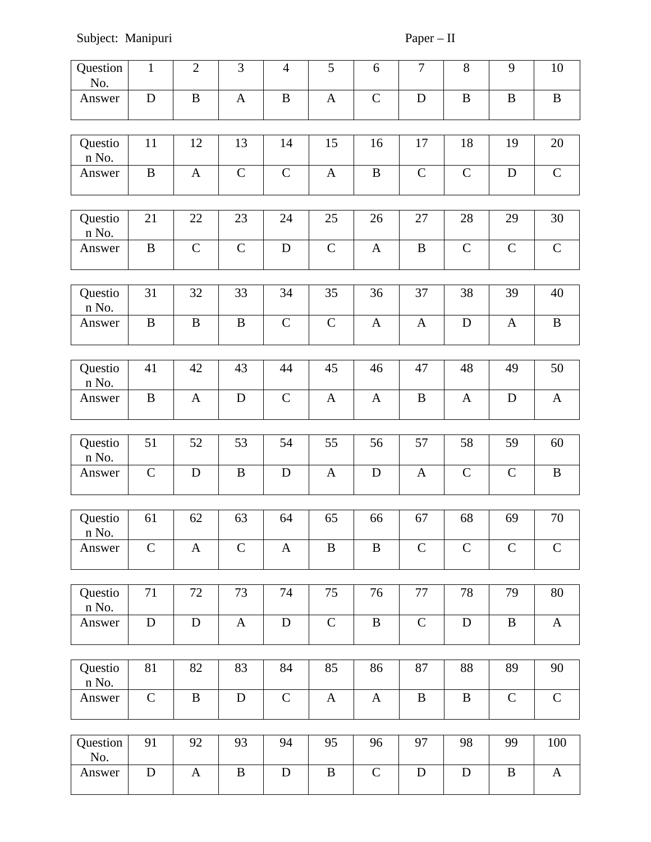# Subject: Manipuri Paper – II

| Question<br>No.       | $\mathbf{1}$ | $\overline{2}$ | 3            | $\overline{4}$ | 5            | 6            | $\overline{7}$ | 8            | 9            | $10\,$       |
|-----------------------|--------------|----------------|--------------|----------------|--------------|--------------|----------------|--------------|--------------|--------------|
| Answer                | $\mathbf D$  | $\, {\bf B}$   | $\mathbf{A}$ | $\mathbf B$    | $\mathbf{A}$ | $\mathsf C$  | $\mathbf D$    | $\, {\bf B}$ | $\mathbf B$  | $\, {\bf B}$ |
|                       |              |                |              |                |              |              |                |              |              |              |
| Questio<br>n No.      | 11           | 12             | 13           | 14             | 15           | 16           | 17             | 18           | 19           | 20           |
| Answer                | $\mathbf{B}$ | $\mathbf{A}$   | $\mathsf C$  | $\mathsf C$    | $\mathbf{A}$ | $\mathbf B$  | $\mathsf C$    | $\mathsf C$  | $\mathbf D$  | $\mathsf C$  |
|                       |              |                |              |                |              |              |                |              |              |              |
| Questio<br>n No.      | 21           | 22             | 23           | 24             | 25           | 26           | 27             | 28           | 29           | 30           |
| Answer                | $\, {\bf B}$ | $\mathsf C$    | $\mathsf C$  | $\mathbf D$    | $\mathsf C$  | $\mathbf{A}$ | $\, {\bf B}$   | $\mathsf C$  | $\mathsf C$  | ${\bf C}$    |
|                       |              |                |              |                |              |              |                |              |              |              |
| Questio<br>n No.      | 31           | 32             | 33           | 34             | 35           | 36           | 37             | 38           | 39           | 40           |
| Answer                | $\, {\bf B}$ | B              | $\bf{B}$     | $\mathsf C$    | $\mathsf C$  | $\mathbf{A}$ | $\mathbf{A}$   | $\mathbf D$  | $\mathbf{A}$ | $\, {\bf B}$ |
|                       |              |                |              |                |              |              |                |              |              |              |
| Questio<br>n No.      | 41           | 42             | 43           | 44             | 45           | 46           | 47             | 48           | 49           | 50           |
| Answer                | $\, {\bf B}$ | $\mathbf{A}$   | $\mathbf D$  | ${\bf C}$      | $\mathbf{A}$ | $\mathbf{A}$ | $\, {\bf B}$   | $\mathbf{A}$ | $\mathbf D$  | $\mathbf{A}$ |
|                       |              |                |              |                |              |              |                |              |              |              |
| Questio<br>n No.      | 51           | 52             | 53           | 54             | 55           | 56           | 57             | 58           | 59           | 60           |
| Answer                | $\mathsf C$  | D              | $\bf{B}$     | $\mathbf D$    | $\mathbf{A}$ | $\mathbf D$  | $\mathbf{A}$   | $\mathsf{C}$ | $\mathsf C$  | $\mathbf B$  |
|                       |              |                |              |                |              |              |                |              |              |              |
| Questio<br>$\,$ n No. | 61           | 62             | 63           | 64             | 65           | 66           | 67             | 68           | 69           | $70\,$       |
| Answer                | $\mathsf{C}$ | $\mathbf{A}$   | $\mathsf{C}$ | $\mathbf{A}$   | B            | B            | $\mathsf C$    | $\mathsf C$  | $\mathsf{C}$ | ${\bf C}$    |
|                       |              |                |              |                |              |              |                |              |              |              |
| Questio<br>n No.      | 71           | 72             | 73           | 74             | 75           | 76           | 77             | 78           | 79           | 80           |
| Answer                | ${\bf D}$    | ${\bf D}$      | $\mathbf{A}$ | ${\bf D}$      | $\mathsf C$  | $\, {\bf B}$ | $\mathsf C$    | $\mathbf D$  | $\mathbf B$  | $\mathbf{A}$ |
|                       |              |                |              |                |              |              |                |              |              |              |
| Questio<br>n No.      | 81           | 82             | 83           | 84             | 85           | 86           | 87             | 88           | 89           | 90           |
| Answer                | ${\bf C}$    | $\mathbf B$    | ${\bf D}$    | ${\bf C}$      | $\mathbf{A}$ | $\mathbf{A}$ | $\, {\bf B}$   | $\, {\bf B}$ | $\mathsf{C}$ | ${\bf C}$    |
|                       |              |                |              |                |              |              |                |              |              |              |
| Question<br>No.       | 91           | 92             | 93           | 94             | 95           | 96           | 97             | 98           | 99           | 100          |
| Answer                | D            | $\mathbf{A}$   | $\, {\bf B}$ | D              | $\bf{B}$     | $\mathsf C$  | D              | D            | $\bf{B}$     | $\mathbf{A}$ |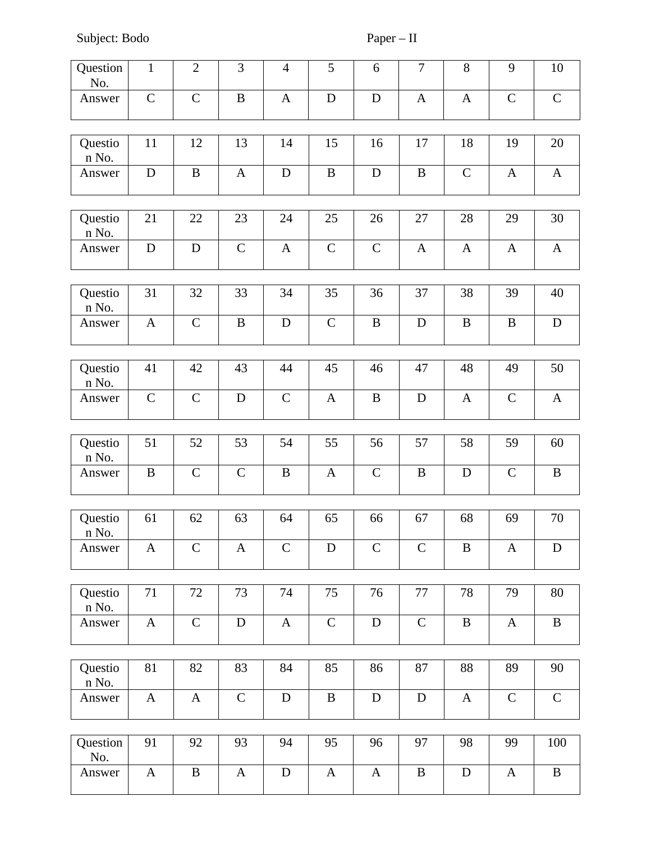Subject: Bodo Paper – II

| Question<br>No.       | $\mathbf{1}$ | $\overline{2}$ | 3            | $\overline{4}$ | 5            | 6            | $\overline{7}$ | 8                | 9            | $10\,$       |
|-----------------------|--------------|----------------|--------------|----------------|--------------|--------------|----------------|------------------|--------------|--------------|
| Answer                | $\mathsf C$  | $\mathsf C$    | $\mathbf B$  | $\mathbf{A}$   | $\mathbf D$  | $\mathbf D$  | $\mathbf{A}$   | $\mathbf{A}$     | $\mathsf{C}$ | ${\bf C}$    |
|                       |              |                |              |                |              |              |                |                  |              |              |
| Questio<br>n No.      | 11           | 12             | 13           | 14             | 15           | 16           | 17             | 18               | 19           | 20           |
| Answer                | $\mathbf D$  | B              | $\mathbf{A}$ | $\mathbf D$    | B            | D            | B              | $\mathsf{C}$     | $\mathbf{A}$ | $\mathbf{A}$ |
|                       |              |                |              |                |              |              |                |                  |              |              |
| Questio<br>n No.      | 21           | 22             | 23           | 24             | 25           | 26           | 27             | 28               | 29           | 30           |
| Answer                | ${\bf D}$    | D              | $\mathsf C$  | $\mathbf{A}$   | $\mathsf C$  | $\mathsf{C}$ | $\mathbf{A}$   | $\boldsymbol{A}$ | $\mathbf{A}$ | $\mathbf{A}$ |
|                       |              |                |              |                |              |              |                |                  |              |              |
| Questio<br>n No.      | 31           | 32             | 33           | 34             | 35           | 36           | 37             | 38               | 39           | 40           |
| Answer                | $\mathbf{A}$ | $\mathsf C$    | $\mathbf B$  | ${\bf D}$      | $\mathsf C$  | $\mathbf B$  | $\mathbf D$    | $\, {\bf B}$     | B            | ${\bf D}$    |
|                       |              |                |              |                |              |              |                |                  |              |              |
| Questio<br>n No.      | 41           | 42             | 43           | 44             | 45           | 46           | 47             | 48               | 49           | 50           |
| Answer                | $\mathsf{C}$ | $\mathsf C$    | $\mathbf D$  | $\mathsf C$    | $\mathbf{A}$ | $\mathbf B$  | D              | $\boldsymbol{A}$ | $\mathsf C$  | $\mathbf{A}$ |
|                       |              |                |              |                |              |              |                |                  |              |              |
| Questio<br>n No.      | 51           | 52             | 53           | 54             | 55           | 56           | 57             | 58               | 59           | 60           |
| Answer                | $\bf{B}$     | $\mathsf C$    | $\mathsf C$  | $\, {\bf B}$   | A            | $\mathsf C$  | $\bf{B}$       | $\mathbf D$      | $\mathsf C$  | B            |
|                       |              |                |              |                |              |              |                |                  |              |              |
| Questio<br>$\,$ n No. | 61           | 62             | 63           | 64             | 65           | 66           | 67             | 68               | 69           | 70           |
| Answer                | $\mathbf{A}$ | $\mathsf{C}$   | A            | $\mathsf C$    | $\mathbf D$  | $\mathsf{C}$ | $\mathsf C$    | B                | $\mathbf{A}$ | $\mathbf D$  |
|                       |              |                |              |                |              |              |                |                  |              |              |
| Questio<br>n No.      | 71           | 72             | 73           | 74             | 75           | 76           | 77             | 78               | 79           | 80           |
| Answer                | $\mathbf{A}$ | $\mathsf C$    | $\mathbf D$  | $\mathbf{A}$   | $\mathsf C$  | $\mathbf D$  | $\mathsf C$    | $\, {\bf B}$     | $\mathbf{A}$ | $\, {\bf B}$ |
|                       |              |                |              |                |              |              |                |                  |              |              |
| Questio<br>n No.      | 81           | 82             | 83           | 84             | 85           | 86           | 87             | 88               | 89           | 90           |
| Answer                | $\mathbf{A}$ | $\mathbf{A}$   | $\mathsf{C}$ | $\mathbf D$    | $\bf{B}$     | $\mathbf D$  | $\mathbf D$    | $\mathbf{A}$     | $\mathsf{C}$ | $\mathsf C$  |
|                       |              |                |              |                |              |              |                |                  |              |              |
| Question<br>No.       | 91           | 92             | 93           | 94             | 95           | 96           | 97             | 98               | 99           | 100          |
| Answer                | $\mathbf{A}$ | B              | $\mathbf{A}$ | $\mathbf D$    | $\mathbf{A}$ | $\mathbf{A}$ | $\bf{B}$       | $\mathbf D$      | $\mathbf{A}$ | B            |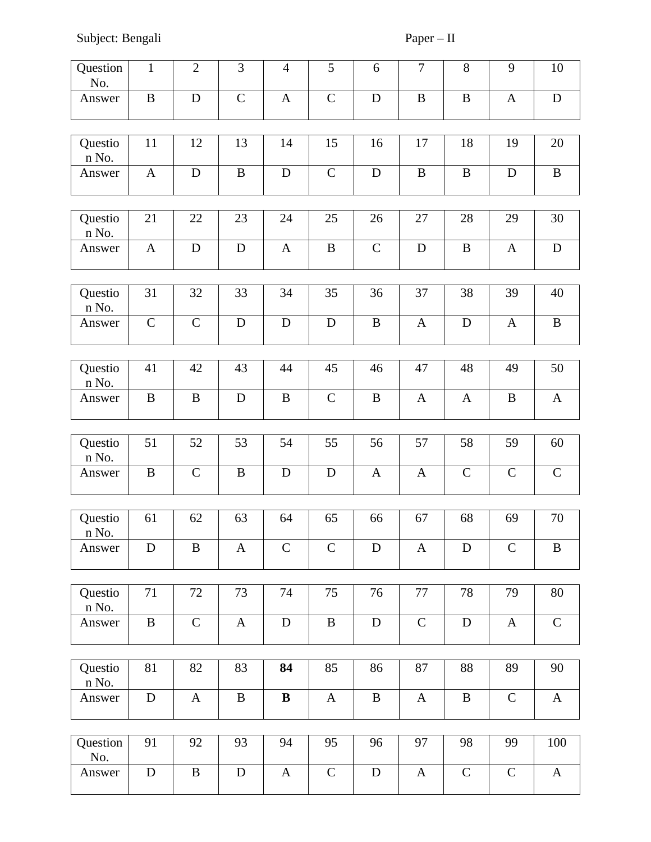Subject: Bengali Paper – II

| Question<br>No.  | $\mathbf{1}$ | $\overline{2}$ | 3            | $\overline{4}$ | 5            | 6                | $\overline{7}$ | 8            | 9            | 10           |
|------------------|--------------|----------------|--------------|----------------|--------------|------------------|----------------|--------------|--------------|--------------|
| Answer           | $\bf{B}$     | D              | $\mathsf{C}$ | $\mathbf{A}$   | $\mathsf C$  | $\mathbf D$      | $\, {\bf B}$   | $\, {\bf B}$ | $\mathbf{A}$ | $\mathbf D$  |
| Questio<br>n No. | 11           | 12             | 13           | 14             | 15           | 16               | 17             | 18           | 19           | 20           |
| Answer           | $\mathbf{A}$ | $\mathbf D$    | $\mathbf B$  | ${\bf D}$      | $\mathsf{C}$ | $\mathbf D$      | B              | $\bf{B}$     | D            | B            |
| Questio<br>n No. | 21           | 22             | 23           | 24             | 25           | 26               | 27             | 28           | 29           | 30           |
| Answer           | $\mathbf{A}$ | $\mathbf D$    | $\mathbf D$  | $\mathbf{A}$   | $\bf{B}$     | ${\bf C}$        | $\mathbf D$    | $\, {\bf B}$ | $\mathbf{A}$ | ${\bf D}$    |
| Questio<br>n No. | 31           | 32             | 33           | 34             | 35           | 36               | 37             | 38           | 39           | 40           |
| Answer           | $\mathsf C$  | $\mathsf C$    | $\mathbf D$  | $\mathbf D$    | $\mathbf D$  | $\mathbf B$      | $\mathbf{A}$   | ${\bf D}$    | $\mathbf{A}$ | $\bf{B}$     |
| Questio<br>n No. | 41           | 42             | 43           | 44             | 45           | 46               | 47             | 48           | 49           | 50           |
| Answer           | $\bf{B}$     | $\mathbf B$    | $\mathbf D$  | $\mathbf B$    | $\mathsf C$  | $\mathbf B$      | $\mathbf{A}$   | $\mathbf{A}$ | $\mathbf B$  | $\mathbf{A}$ |
|                  | 51           | 52             | 53           | 54             | 55           | 56               | 57             | 58           | 59           | 60           |
| Questio<br>n No. |              |                |              |                |              |                  |                |              |              |              |
| Answer           | $\, {\bf B}$ | $\mathsf C$    | $\, {\bf B}$ | ${\bf D}$      | $\mathbf D$  | $\mathbf{A}$     | $\mathbf{A}$   | $\mathsf C$  | $\mathsf C$  | $\mathsf C$  |
| Questio<br>n No. | 61           | 62             | 63           | 64             | 65           | 66               | 67             | 68           | 69           | 70           |
| Answer           | D            | $\mathbf B$    | $\mathbf{A}$ | $\mathsf{C}$   | $\mathsf C$  | $\mathbf D$      | $\mathbf{A}$   | $\mathbf D$  | $\mathsf{C}$ | $\bf{B}$     |
|                  |              | 72             |              | 74             | 75           | 76               | 77             |              |              |              |
| Questio<br>n No. | 71           |                | 73           |                |              |                  |                | 78           | 79           | 80           |
| Answer           | $\, {\bf B}$ | $\mathsf C$    | $\mathbf{A}$ | $\mathbf D$    | $\, {\bf B}$ | $\mathbf D$      | ${\bf C}$      | ${\bf D}$    | $\mathbf{A}$ | $\mathsf{C}$ |
|                  |              | 82             | 83           | 84             |              | 86               |                |              | 89           | 90           |
| Questio<br>n No. | 81           |                |              |                | 85           |                  | 87             | 88           |              |              |
| Answer           | $\mathbf D$  | $\mathbf{A}$   | $\mathbf B$  | $\bf{B}$       | $\mathbf{A}$ | $\boldsymbol{B}$ | $\mathbf{A}$   | $\, {\bf B}$ | $\mathsf{C}$ | $\bf{A}$     |
|                  |              |                |              |                |              |                  |                |              |              |              |
| Question<br>No.  | 91           | 92             | 93           | 94             | 95           | 96               | 97             | 98           | 99           | 100          |
| Answer           | $\mathbf D$  | $\, {\bf B}$   | ${\bf D}$    | $\mathbf{A}$   | $\mathsf C$  | $\mathbf D$      | $\mathbf{A}$   | $\mathsf C$  | $\mathsf C$  | $\mathbf{A}$ |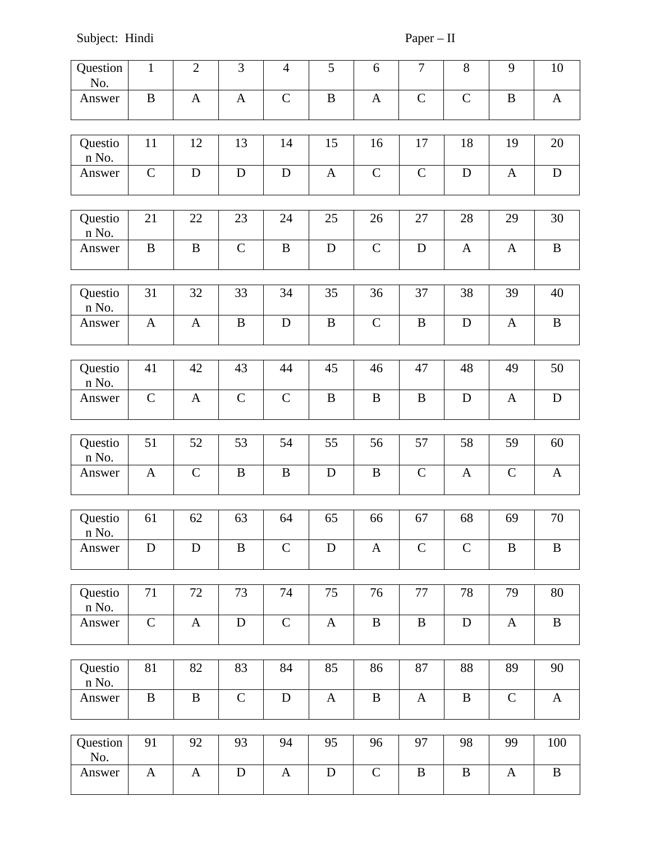Subject: Hindi Paper – II

| Question<br>No.  | $\mathbf{1}$ | $\overline{2}$ | 3            | $\overline{4}$ | 5            | 6            | $\overline{7}$ | 8                | 9            | $10\,$       |
|------------------|--------------|----------------|--------------|----------------|--------------|--------------|----------------|------------------|--------------|--------------|
| Answer           | $\bf{B}$     | $\mathbf{A}$   | $\mathbf{A}$ | $\mathsf C$    | $\bf{B}$     | $\mathbf{A}$ | $\mathsf C$    | $\mathsf C$      | B            | $\mathbf{A}$ |
|                  |              |                |              |                |              |              |                |                  |              |              |
| Questio<br>n No. | 11           | 12             | 13           | 14             | 15           | 16           | 17             | 18               | 19           | 20           |
| Answer           | $\mathsf C$  | D              | D            | $\mathbf D$    | A            | $\mathsf C$  | $\mathsf C$    | D                | $\mathbf{A}$ | ${\bf D}$    |
|                  |              |                |              |                |              |              |                |                  |              |              |
| Questio<br>n No. | 21           | 22             | 23           | 24             | 25           | 26           | 27             | 28               | 29           | 30           |
| Answer           | $\bf{B}$     | $\bf{B}$       | $\mathsf C$  | $\, {\bf B}$   | $\mathbf D$  | $\mathsf C$  | $\mathbf D$    | $\boldsymbol{A}$ | $\mathbf{A}$ | $\bf{B}$     |
|                  |              |                |              |                |              |              |                |                  |              |              |
| Questio<br>n No. | 31           | 32             | 33           | 34             | 35           | 36           | 37             | 38               | 39           | 40           |
| Answer           | $\mathbf{A}$ | $\mathbf{A}$   | $\mathbf B$  | $\mathbf D$    | $\, {\bf B}$ | $\mathsf{C}$ | $\, {\bf B}$   | D                | $\mathbf{A}$ | $\, {\bf B}$ |
|                  |              |                |              |                |              |              |                |                  |              |              |
| Questio<br>n No. | 41           | 42             | 43           | 44             | 45           | 46           | 47             | 48               | 49           | 50           |
| Answer           | $\mathsf C$  | $\mathbf{A}$   | $\mathsf C$  | $\mathsf C$    | $\mathbf B$  | B            | B              | $\mathbf D$      | $\mathbf{A}$ | $\mathbf D$  |
|                  |              |                |              |                |              |              |                |                  |              |              |
| Questio<br>n No. | 51           | 52             | 53           | 54             | 55           | 56           | 57             | 58               | 59           | 60           |
| Answer           | $\mathbf{A}$ | $\mathsf{C}$   | $\, {\bf B}$ | $\, {\bf B}$   | $\mathbf D$  | $\, {\bf B}$ | $\mathsf C$    | $\mathbf{A}$     | $\mathsf C$  | $\mathbf{A}$ |
|                  |              |                |              |                |              |              |                |                  |              |              |
| Questio<br>n No. | 61           | 62             | 63           | 64             | 65           | 66           | 67             | 68               | 69           | 70           |
| Answer           | $\mathbf D$  | $\mathbf D$    | $\bf{B}$     | $\mathsf C$    | D            | $\mathbf{A}$ | $\mathsf C$    | $\mathsf C$      | B            | $\, {\bf B}$ |
|                  |              |                |              |                |              |              |                |                  |              |              |
| Questio<br>n No. | 71           | 72             | 73           | 74             | 75           | 76           | $77\,$         | 78               | 79           | 80           |
| Answer           | $\mathsf C$  | $\mathbf{A}$   | ${\bf D}$    | ${\mathsf C}$  | $\mathbf{A}$ | $\, {\bf B}$ | $\, {\bf B}$   | ${\bf D}$        | $\mathbf{A}$ | $\, {\bf B}$ |
|                  |              |                |              |                |              |              |                |                  |              |              |
| Questio<br>n No. | 81           | 82             | 83           | 84             | 85           | 86           | 87             | 88               | 89           | 90           |
| Answer           | B            | $\bf{B}$       | $\mathsf{C}$ | $\mathbf D$    | A            | $\bf{B}$     | $\mathbf{A}$   | $\bf{B}$         | $\mathsf{C}$ | $\mathbf{A}$ |
|                  |              |                |              |                |              |              |                |                  |              |              |
| Question<br>No.  | 91           | 92             | 93           | 94             | 95           | 96           | 97             | 98               | 99           | 100          |
| Answer           | A            | $\mathbf{A}$   | ${\bf D}$    | $\mathbf{A}$   | ${\bf D}$    | $\mathsf C$  | $\mathbf B$    | $\, {\bf B}$     | $\mathbf{A}$ | $\, {\bf B}$ |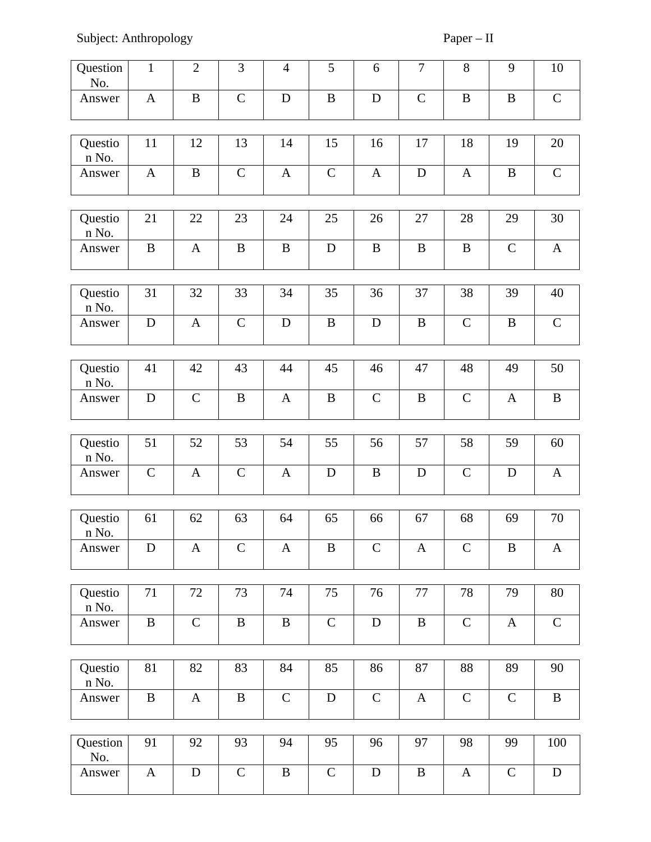Subject: Anthropology Paper – II

| Question<br>No.  | $\mathbf{1}$ | $\overline{2}$ | 3            | $\overline{4}$ | 5            | 6            | $\overline{7}$ | 8                | 9            | 10           |
|------------------|--------------|----------------|--------------|----------------|--------------|--------------|----------------|------------------|--------------|--------------|
| Answer           | $\mathbf{A}$ | $\mathbf B$    | $\mathsf{C}$ | $\mathbf D$    | $\bf{B}$     | $\mathbf D$  | $\mathsf C$    | $\, {\bf B}$     | B            | $\mathsf{C}$ |
| Questio<br>n No. | 11           | 12             | 13           | 14             | 15           | 16           | 17             | 18               | 19           | 20           |
| Answer           | $\mathbf{A}$ | B              | $\mathsf C$  | $\mathbf{A}$   | $\mathsf{C}$ | $\mathbf{A}$ | $\mathbf D$    | $\mathbf{A}$     | B            | $\mathsf{C}$ |
| Questio<br>n No. | 21           | 22             | 23           | 24             | 25           | 26           | 27             | 28               | 29           | 30           |
| Answer           | $\, {\bf B}$ | $\mathbf{A}$   | $\mathbf B$  | $\, {\bf B}$   | $\mathbf D$  | B            | $\bf{B}$       | $\, {\bf B}$     | $\mathsf{C}$ | $\mathbf{A}$ |
| Questio<br>n No. | 31           | 32             | 33           | 34             | 35           | 36           | 37             | 38               | 39           | 40           |
| Answer           | ${\bf D}$    | $\mathbf{A}$   | $\mathsf{C}$ | $\mathbf D$    | $\bf{B}$     | $\mathbf D$  | $\mathbf B$    | $\mathsf C$      | $\mathbf B$  | $\mathsf C$  |
| Questio<br>n No. | 41           | 42             | 43           | 44             | 45           | 46           | 47             | 48               | 49           | 50           |
| Answer           | D            | $\mathsf{C}$   | $\mathbf B$  | $\mathbf{A}$   | $\bf{B}$     | $\mathsf{C}$ | $\mathbf B$    | $\mathsf C$      | $\mathbf{A}$ | $\bf{B}$     |
|                  |              |                |              |                |              |              |                |                  |              |              |
| Questio<br>n No. | 51           | 52             | 53           | 54             | 55           | 56           | 57             | 58               | 59           | 60           |
| Answer           | $\mathsf C$  | $\mathbf{A}$   | $\mathsf C$  | $\mathbf{A}$   | $\mathbf D$  | $\mathbf B$  | $\mathbf D$    | $\mathsf C$      | $\mathbf D$  | $\mathbf{A}$ |
| Questio<br>n No. | 61           | 62             | 63           | 64             | 65           | 66           | 67             | 68               | 69           | 70           |
| Answer           | D            | $\mathbf{A}$   | $\mathsf C$  | $\mathbf{A}$   | $\, {\bf B}$ | $\mathsf{C}$ | $\mathbf{A}$   | $\mathsf C$      | $\mathbf B$  | $\mathbf{A}$ |
|                  |              |                |              |                |              |              |                |                  |              |              |
| Questio<br>n No. | 71           | 72             | 73           | 74             | 75           | 76           | 77             | 78               | 79           | ${\bf 80}$   |
| Answer           | $\, {\bf B}$ | $\mathsf C$    | $\, {\bf B}$ | $\, {\bf B}$   | $\mathsf C$  | $\mathbf D$  | $\, {\bf B}$   | ${\bf C}$        | $\mathbf{A}$ | $\mathsf{C}$ |
| Questio<br>n No. | 81           | 82             | 83           | 84             | 85           | 86           | 87             | 88               | 89           | 90           |
| Answer           | B            | $\mathbf{A}$   | $\mathbf B$  | $\mathsf C$    | $\mathbf D$  | $\mathsf C$  | $\mathbf{A}$   | $\mathsf C$      | $\mathsf{C}$ | $\, {\bf B}$ |
|                  |              |                |              |                |              |              |                |                  |              |              |
| Question<br>No.  | 91           | 92             | 93           | 94             | 95           | 96           | 97             | 98               | 99           | 100          |
| Answer           | $\mathbf{A}$ | ${\bf D}$      | ${\bf C}$    | $\, {\bf B}$   | $\mathsf C$  | $\mathbf D$  | $\mathbf B$    | $\boldsymbol{A}$ | $\mathsf C$  | ${\bf D}$    |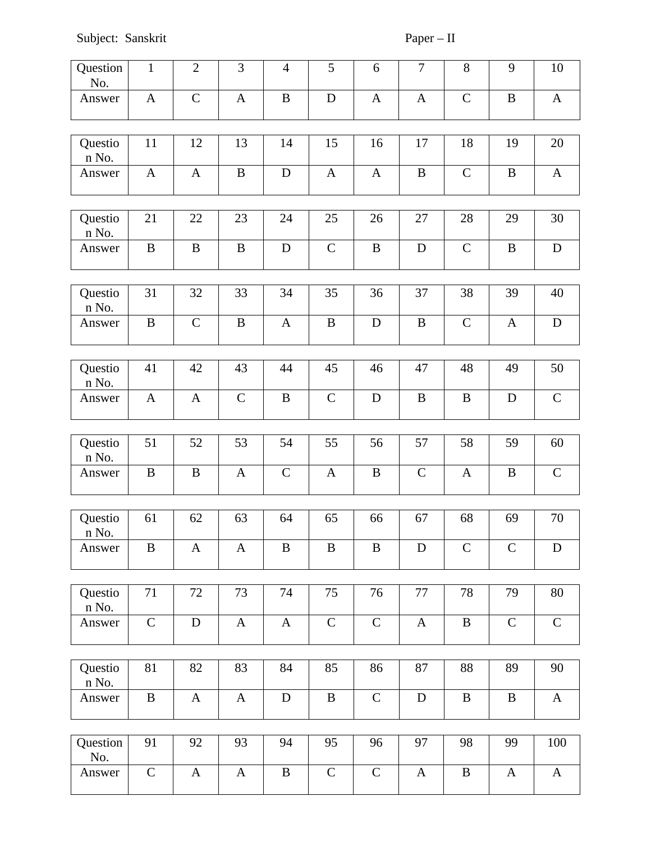Subject: Sanskrit Paper – II

| Question<br>No.  | $\mathbf{1}$ | $\overline{2}$ | 3            | $\overline{4}$ | 5            | 6            | $\overline{7}$ | 8            | 9            | $10\,$       |
|------------------|--------------|----------------|--------------|----------------|--------------|--------------|----------------|--------------|--------------|--------------|
| Answer           | $\mathbf{A}$ | $\mathsf C$    | $\mathbf{A}$ | $\mathbf B$    | $\mathbf D$  | $\mathbf{A}$ | $\mathbf{A}$   | $\mathsf C$  | $\mathbf B$  | $\mathbf{A}$ |
|                  |              |                |              |                |              |              |                |              |              |              |
| Questio<br>n No. | 11           | 12             | 13           | 14             | 15           | 16           | 17             | 18           | 19           | 20           |
| Answer           | $\mathbf{A}$ | $\mathbf{A}$   | $\, {\bf B}$ | $\mathbf D$    | A            | $\mathbf{A}$ | $\, {\bf B}$   | $\mathsf C$  | B            | $\mathbf{A}$ |
|                  |              |                |              |                |              |              |                |              |              |              |
| Questio<br>n No. | 21           | 22             | 23           | 24             | 25           | 26           | 27             | 28           | 29           | 30           |
| Answer           | $\bf{B}$     | $\bf{B}$       | $\, {\bf B}$ | $\mathbf D$    | $\mathsf C$  | $\mathbf B$  | $\mathbf D$    | $\mathsf C$  | B            | ${\bf D}$    |
|                  |              |                |              |                |              |              |                |              |              |              |
| Questio<br>n No. | 31           | 32             | 33           | 34             | 35           | 36           | 37             | 38           | 39           | 40           |
| Answer           | $\, {\bf B}$ | $\mathsf{C}$   | $\mathbf B$  | $\mathbf{A}$   | $\, {\bf B}$ | $\mathbf D$  | $\, {\bf B}$   | $\mathsf C$  | $\mathbf{A}$ | ${\bf D}$    |
|                  |              |                |              |                |              |              |                |              |              |              |
| Questio<br>n No. | 41           | 42             | 43           | 44             | 45           | 46           | 47             | 48           | 49           | 50           |
| Answer           | $\mathbf{A}$ | $\mathbf{A}$   | $\mathsf C$  | $\mathbf B$    | $\mathsf C$  | $\mathbf D$  | B              | $\bf{B}$     | D            | $\mathsf C$  |
|                  |              |                |              |                |              |              |                |              |              |              |
| Questio<br>n No. | 51           | 52             | 53           | 54             | 55           | 56           | 57             | 58           | 59           | 60           |
| Answer           | $\, {\bf B}$ | $\bf{B}$       | $\mathbf{A}$ | $\mathsf C$    | $\mathbf{A}$ | $\, {\bf B}$ | $\mathsf C$    | $\mathbf{A}$ | $\bf{B}$     | ${\bf C}$    |
|                  |              |                |              |                |              |              |                |              |              |              |
| Questio<br>n No. | 61           | 62             | 63           | 64             | 65           | 66           | 67             | 68           | 69           | 70           |
| Answer           | B            | $\mathbf{A}$   | $\mathbf{A}$ | $\bf{B}$       | $\, {\bf B}$ | $\, {\bf B}$ | ${\bf D}$      | $\mathsf C$  | $\mathsf{C}$ | ${\bf D}$    |
|                  |              |                |              |                |              |              |                |              |              |              |
| Questio<br>n No. | 71           | 72             | 73           | 74             | 75           | 76           | $77\,$         | 78           | 79           | 80           |
| Answer           | $\mathsf C$  | $\mathbf D$    | $\mathbf{A}$ | $\mathbf{A}$   | $\mathsf C$  | ${\bf C}$    | $\mathbf{A}$   | $\, {\bf B}$ | $\mathsf C$  | ${\bf C}$    |
|                  |              |                |              |                |              |              |                |              |              |              |
| Questio<br>n No. | 81           | 82             | 83           | 84             | 85           | 86           | 87             | 88           | 89           | 90           |
| Answer           | B            | $\mathbf{A}$   | $\mathbf{A}$ | $\mathbf D$    | $\bf{B}$     | $\mathsf C$  | $\mathbf D$    | $\bf{B}$     | B            | $\mathbf{A}$ |
|                  |              |                |              |                |              |              |                |              |              |              |
| Question<br>No.  | 91           | 92             | 93           | 94             | 95           | 96           | 97             | 98           | 99           | 100          |
| Answer           | $\mathsf C$  | $\mathbf{A}$   | $\mathbf{A}$ | $\bf{B}$       | $\mathsf C$  | ${\bf C}$    | $\mathbf{A}$   | $\, {\bf B}$ | $\mathbf{A}$ | $\mathbf{A}$ |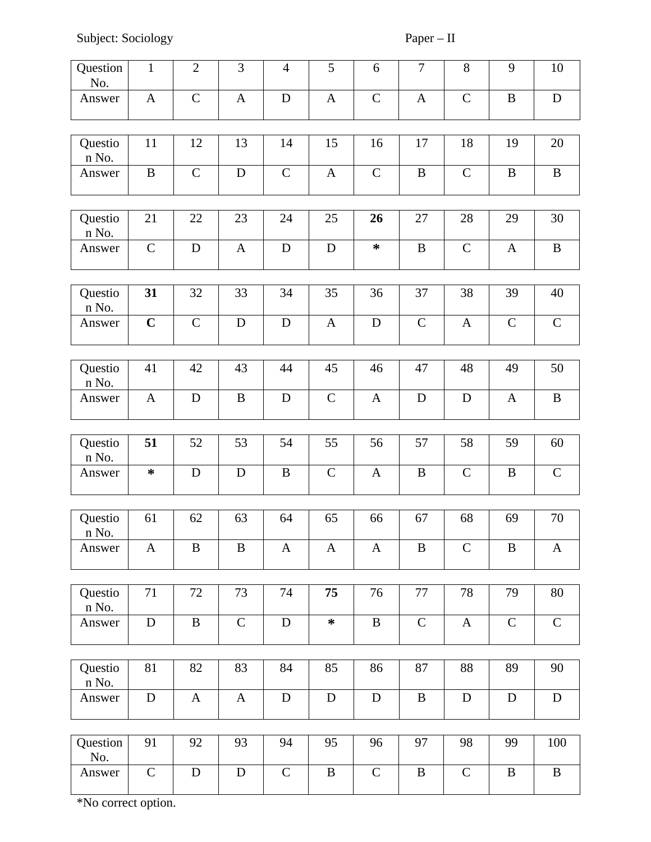Subject: Sociology Paper – II

| Question<br>No.  | $\mathbf{1}$ | $\overline{2}$ | 3            | $\overline{4}$ | 5            | 6            | $\overline{7}$ | 8            | $\overline{9}$ | 10           |
|------------------|--------------|----------------|--------------|----------------|--------------|--------------|----------------|--------------|----------------|--------------|
| Answer           | $\mathbf{A}$ | $\mathsf C$    | $\mathbf{A}$ | $\mathbf D$    | $\mathbf{A}$ | $\mathsf{C}$ | $\mathbf{A}$   | $\mathsf C$  | $\mathbf B$    | $\mathbf D$  |
|                  |              |                |              |                |              |              |                |              |                |              |
| Questio<br>n No. | 11           | 12             | 13           | 14             | 15           | 16           | 17             | 18           | 19             | 20           |
| Answer           | B            | $\mathsf C$    | $\mathbf D$  | $\mathsf C$    | A            | $\mathsf C$  | $\bf{B}$       | $\mathsf C$  | $\mathbf B$    | $\bf{B}$     |
|                  |              |                |              |                |              |              |                |              |                |              |
| Questio<br>n No. | 21           | 22             | 23           | 24             | 25           | 26           | 27             | 28           | 29             | 30           |
| Answer           | $\mathsf{C}$ | $\mathbf D$    | $\mathbf{A}$ | $\mathbf D$    | $\mathbf D$  | $\ast$       | B              | $\mathsf C$  | $\mathbf{A}$   | B            |
|                  |              |                |              |                |              |              |                |              |                |              |
| Questio<br>n No. | 31           | 32             | 33           | 34             | 35           | 36           | 37             | 38           | 39             | 40           |
| Answer           | $\mathbf C$  | $\mathsf C$    | D            | $\mathbf D$    | A            | $\mathbf D$  | $\mathsf C$    | A            | $\mathsf{C}$   | $\mathsf C$  |
|                  |              |                |              |                |              |              |                |              |                |              |
| Questio<br>n No. | 41           | 42             | 43           | 44             | 45           | 46           | 47             | 48           | 49             | 50           |
| Answer           | $\mathbf{A}$ | D              | $\, {\bf B}$ | ${\bf D}$      | $\mathsf C$  | $\mathbf{A}$ | $\mathbf D$    | ${\bf D}$    | $\mathbf{A}$   | $\bf{B}$     |
|                  |              |                |              |                |              |              |                |              |                |              |
| Questio<br>n No. | 51           | 52             | 53           | 54             | 55           | 56           | 57             | 58           | 59             | 60           |
| Answer           | ∗            | D              | D            | $\, {\bf B}$   | $\mathsf C$  | $\mathbf{A}$ | B              | $\mathsf{C}$ | B              | $\mathsf C$  |
|                  |              |                |              |                |              |              |                |              |                |              |
| Questio<br>n No. | 61           | 62             | 63           | 64             | 65           | 66           | 67             | 68           | 69             | 70           |
| Answer           | A            | B              | B            | A              | A            | $\mathbf{A}$ | B              | $\mathsf C$  | B              | $\mathbf{A}$ |
|                  |              |                |              |                |              |              |                |              |                |              |
| Questio<br>n No. | 71           | 72             | 73           | 74             | 75           | 76           | 77             | 78           | 79             | 80           |
| Answer           | ${\bf D}$    | $\bf{B}$       | $\mathsf C$  | $\mathbf D$    | $\ast$       | $\mathbf B$  | $\mathsf C$    | A            | $\mathsf{C}$   | $\mathsf C$  |
|                  |              |                |              |                |              |              |                |              |                |              |
| Questio<br>n No. | 81           | 82             | 83           | 84             | 85           | 86           | 87             | 88           | 89             | 90           |
| Answer           | ${\bf D}$    | $\mathbf{A}$   | $\mathbf{A}$ | ${\bf D}$      | ${\bf D}$    | $\mathbf D$  | $\bf{B}$       | ${\bf D}$    | $\mathbf D$    | ${\bf D}$    |
|                  |              |                |              |                |              |              |                |              |                |              |
| Question<br>No.  | 91           | 92             | 93           | 94             | 95           | 96           | 97             | 98           | 99             | 100          |
| Answer           | $\mathsf{C}$ | $\mathbf D$    | $\mathbf D$  | $\mathsf C$    | B            | $\mathsf{C}$ | $\bf{B}$       | $\mathsf C$  | B              | B            |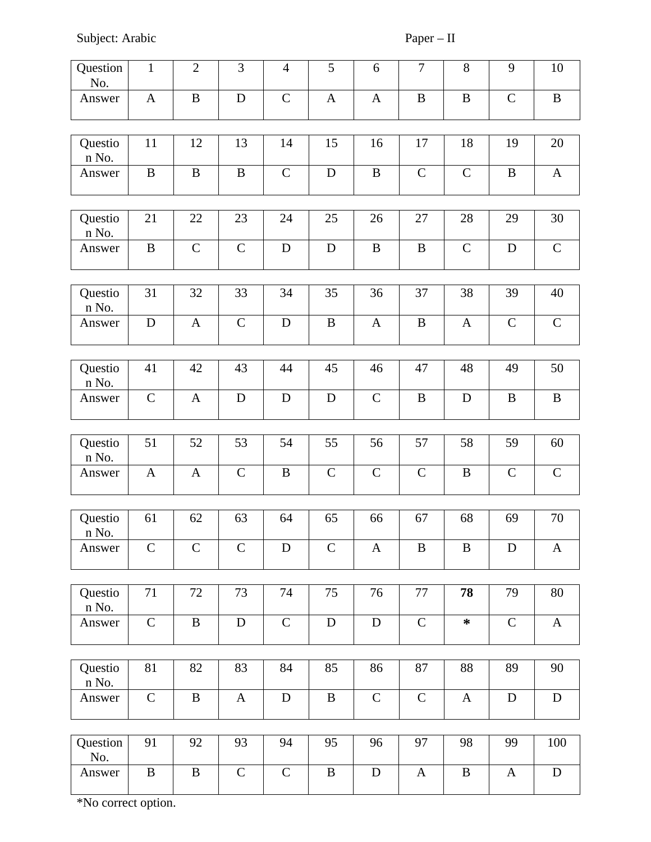Subject: Arabic Paper – II

| Question<br>No.       | $\mathbf{1}$ | $\overline{2}$ | 3            | $\overline{4}$ | 5            | 6            | $\overline{7}$ | $\, 8$           | 9            | 10           |
|-----------------------|--------------|----------------|--------------|----------------|--------------|--------------|----------------|------------------|--------------|--------------|
| Answer                | $\mathbf{A}$ | $\, {\bf B}$   | ${\bf D}$    | $\mathsf C$    | $\mathbf{A}$ | $\mathbf{A}$ | $\, {\bf B}$   | $\mathbf B$      | $\mathsf{C}$ | $\, {\bf B}$ |
|                       |              |                |              |                |              |              |                |                  |              |              |
| Questio<br>n No.      | 11           | 12             | 13           | 14             | 15           | 16           | 17             | 18               | 19           | 20           |
| Answer                | $\, {\bf B}$ | $\, {\bf B}$   | $\mathbf B$  | ${\bf C}$      | $\mathbf D$  | $\mathbf B$  | $\mathsf C$    | $\mathsf C$      | $\mathbf B$  | $\mathbf{A}$ |
|                       |              |                |              |                |              |              |                |                  |              |              |
| Questio<br>n No.      | 21           | 22             | 23           | 24             | 25           | 26           | 27             | 28               | 29           | 30           |
| Answer                | $\, {\bf B}$ | $\mathsf C$    | $\mathsf C$  | ${\bf D}$      | $\mathbf D$  | $\, {\bf B}$ | $\, {\bf B}$   | $\mathsf{C}$     | $\mathbf D$  | ${\bf C}$    |
|                       |              |                |              |                |              |              |                |                  |              |              |
| Questio<br>n No.      | 31           | 32             | 33           | 34             | 35           | 36           | 37             | 38               | 39           | 40           |
| Answer                | ${\bf D}$    | $\mathbf{A}$   | $\mathsf C$  | ${\bf D}$      | $\bf{B}$     | $\mathbf{A}$ | $\, {\bf B}$   | $\mathbf{A}$     | $\mathsf C$  | $\mathsf C$  |
|                       |              |                |              |                |              |              |                |                  |              |              |
| Questio<br>n No.      | 41           | 42             | 43           | 44             | 45           | 46           | 47             | 48               | 49           | 50           |
| Answer                | $\mathsf C$  | $\mathbf{A}$   | ${\bf D}$    | ${\bf D}$      | D            | ${\bf C}$    | $\, {\bf B}$   | $\mathbf D$      | $\bf{B}$     | $\, {\bf B}$ |
|                       |              |                |              |                |              |              |                |                  |              |              |
| Questio<br>n No.      | 51           | 52             | 53           | 54             | 55           | 56           | 57             | 58               | 59           | 60           |
| Answer                | $\mathbf{A}$ | $\mathbf{A}$   | $\mathsf C$  | $\bf{B}$       | $\mathsf C$  | $\mathsf C$  | ${\mathsf C}$  | B                | $\mathsf C$  | ${\bf C}$    |
|                       |              |                |              |                |              |              |                |                  |              |              |
| Questio<br>$\,$ n No. | 61           | 62             | 63           | 64             | 65           | 66           | 67             | 68               | 69           | 70           |
| Answer                | $\mathsf C$  | $\mathsf{C}$   | $\mathsf{C}$ | $\mathbf D$    | $\mathsf C$  | $\mathbf{A}$ | $\, {\bf B}$   | $\boldsymbol{B}$ | D            | $\mathbf{A}$ |
|                       |              |                |              |                |              |              |                |                  |              |              |
| Questio<br>n No.      | 71           | 72             | 73           | 74             | 75           | 76           | 77             | 78               | 79           | 80           |
| Answer                | $\mathsf C$  | $\, {\bf B}$   | ${\bf D}$    | $\mathsf C$    | ${\bf D}$    | ${\bf D}$    | $\mathsf C$    | $\ast$           | ${\bf C}$    | $\mathbf{A}$ |
|                       |              |                |              |                |              |              |                |                  |              |              |
| Questio<br>n No.      | 81           | 82             | 83           | 84             | 85           | 86           | 87             | 88               | 89           | 90           |
| Answer                | ${\bf C}$    | $\, {\bf B}$   | $\mathbf{A}$ | ${\bf D}$      | $\, {\bf B}$ | $\mathsf{C}$ | $\mathsf C$    | $\mathbf{A}$     | $\mathbf D$  | ${\bf D}$    |
|                       |              |                |              |                |              |              |                |                  |              |              |
| Question<br>No.       | 91           | 92             | 93           | 94             | 95           | 96           | 97             | 98               | 99           | 100          |
| Answer                | $\bf{B}$     | B              | $\mathsf C$  | ${\mathsf C}$  | B            | $\mathbf D$  | $\mathbf{A}$   | $\, {\bf B}$     | $\mathbf{A}$ | ${\rm D}$    |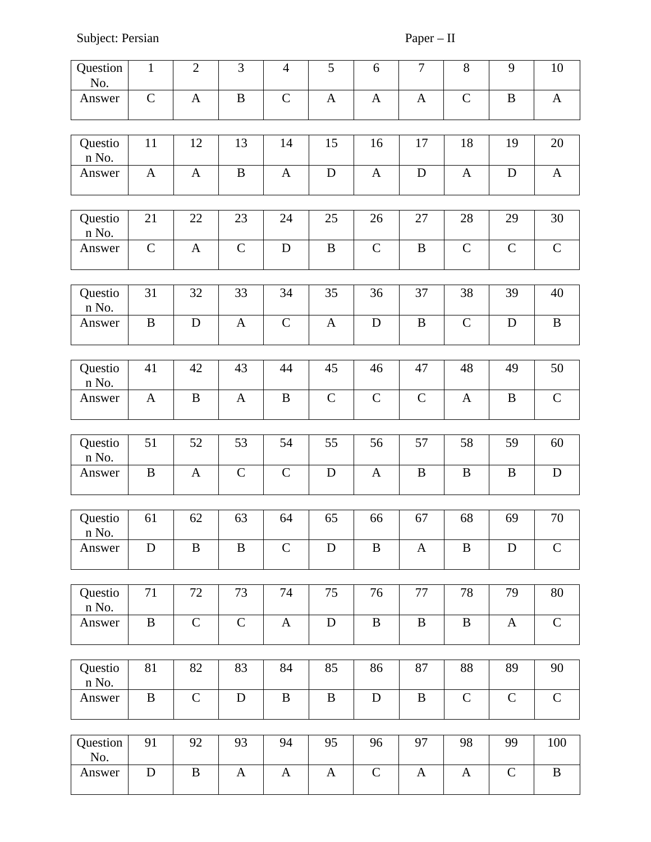Subject: Persian Paper – II

| Question<br>No.  | $\mathbf{1}$ | $\overline{2}$ | 3            | $\overline{\mathcal{A}}$ | 5            | $\,6\,$      | $\overline{7}$ | $\, 8$           | 9            | $10\,$       |
|------------------|--------------|----------------|--------------|--------------------------|--------------|--------------|----------------|------------------|--------------|--------------|
| Answer           | $\mathsf{C}$ | $\mathbf{A}$   | $\mathbf B$  | $\mathsf C$              | $\mathbf{A}$ | $\mathbf{A}$ | $\mathbf{A}$   | $\mathsf C$      | $\mathbf B$  | $\mathbf{A}$ |
| Questio<br>n No. | 11           | 12             | 13           | 14                       | 15           | 16           | 17             | 18               | 19           | 20           |
| Answer           | $\mathbf{A}$ | $\mathbf{A}$   | $\mathbf B$  | $\mathbf{A}$             | $\mathbf D$  | $\mathbf{A}$ | $\mathbf D$    | $\boldsymbol{A}$ | D            | $\mathbf{A}$ |
| Questio<br>n No. | 21           | 22             | 23           | 24                       | 25           | 26           | 27             | 28               | 29           | $30\,$       |
| Answer           | $\mathsf C$  | $\mathbf{A}$   | $\mathsf C$  | $\mathbf D$              | $\mathbf B$  | $\mathsf{C}$ | $\, {\bf B}$   | $\mathsf{C}$     | $\mathsf{C}$ | ${\bf C}$    |
| Questio<br>n No. | 31           | 32             | 33           | 34                       | 35           | 36           | 37             | 38               | 39           | 40           |
| Answer           | $\, {\bf B}$ | $\mathbf D$    | $\mathbf{A}$ | ${\bf C}$                | $\mathbf{A}$ | $\mathbf D$  | $\mathbf B$    | $\mathsf C$      | $\mathbf D$  | $\, {\bf B}$ |
| Questio<br>n No. | 41           | 42             | 43           | 44                       | 45           | 46           | 47             | 48               | 49           | 50           |
| Answer           | $\mathbf{A}$ | B              | $\mathbf{A}$ | $\mathbf B$              | $\mathsf C$  | $\mathsf C$  | $\mathsf C$    | $\mathbf{A}$     | $\mathbf B$  | $\mathsf C$  |
|                  |              |                |              | 54                       |              |              |                |                  |              |              |
| Questio<br>n No. | 51           | 52             | 53           |                          | 55           | 56           | 57             | 58               | 59           | 60           |
| Answer           | B            | $\mathbf{A}$   | $\mathsf C$  | $\mathsf C$              | $\mathbf D$  | $\mathbf{A}$ | B              | $\bf{B}$         | B            | $\mathbf D$  |
| Questio<br>n No. | 61           | 62             | 63           | 64                       | 65           | 66           | 67             | 68               | 69           | 70           |
| Answer           | $\mathbf D$  | $\mathbf B$    | $\mathbf B$  | $\mathsf C$              | $\mathbf D$  | $\mathbf B$  | $\mathbf{A}$   | $\mathbf B$      | $\mathbf D$  | ${\bf C}$    |
|                  |              |                |              |                          |              |              |                |                  |              |              |
| Questio<br>n No. | 71           | 72             | 73           | 74                       | 75           | 76           | 77             | 78               | 79           | $80\,$       |
| Answer           | $\, {\bf B}$ | $\mathsf C$    | $\mathsf{C}$ | $\mathbf{A}$             | ${\bf D}$    | $\, {\bf B}$ | $\, {\bf B}$   | $\, {\bf B}$     | $\mathbf{A}$ | ${\bf C}$    |
| Questio<br>n No. | 81           | 82             | 83           | 84                       | 85           | 86           | 87             | 88               | 89           | 90           |
| Answer           | B            | $\mathsf C$    | $\mathbf D$  | $\bf{B}$                 | B            | $\mathbf D$  | B              | $\mathsf{C}$     | $\mathsf C$  | $\mathsf C$  |
|                  |              |                |              |                          |              |              |                |                  |              |              |
| Question<br>No.  | 91           | 92             | 93           | 94                       | 95           | 96           | 97             | 98               | 99           | 100          |
| Answer           | $\mathbf D$  | B              | $\mathbf{A}$ | $\mathbf{A}$             | $\mathbf{A}$ | ${\bf C}$    | $\mathbf{A}$   | $\mathbf{A}$     | $\mathsf C$  | $\, {\bf B}$ |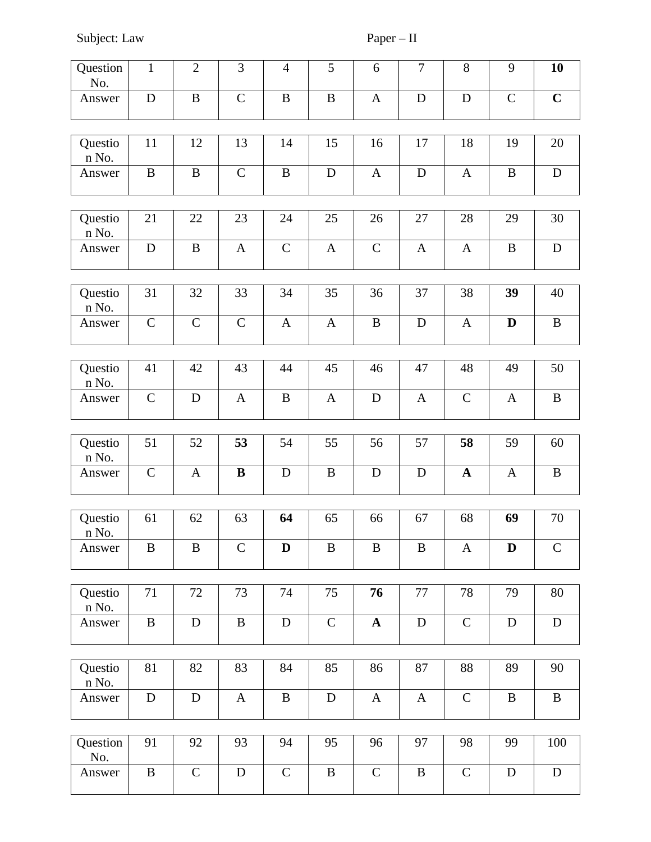Subject: Law Paper – II

| Question         | $\mathbf{1}$ | $\overline{2}$ | 3            | $\overline{4}$ | 5            | $\,6\,$      | $\overline{7}$ | 8             | 9            | 10           |
|------------------|--------------|----------------|--------------|----------------|--------------|--------------|----------------|---------------|--------------|--------------|
| No.              |              |                |              |                |              |              |                |               |              |              |
| Answer           | ${\bf D}$    | $\bf{B}$       | $\mathsf C$  | $\, {\bf B}$   | B            | $\mathbf{A}$ | $\mathbf D$    | $\mathbf D$   | $\mathsf C$  | $\mathbf C$  |
|                  |              |                |              |                |              |              |                |               |              |              |
| Questio<br>n No. | 11           | 12             | 13           | 14             | 15           | 16           | 17             | 18            | 19           | 20           |
| Answer           | $\, {\bf B}$ | $\mathbf B$    | $\mathsf{C}$ | $\, {\bf B}$   | $\mathbf D$  | $\mathbf{A}$ | $\mathbf D$    | $\mathbf{A}$  | $\mathbf B$  | ${\bf D}$    |
|                  |              |                |              |                |              |              |                |               |              |              |
| Questio<br>n No. | 21           | 22             | 23           | 24             | 25           | 26           | 27             | 28            | 29           | 30           |
| Answer           | ${\bf D}$    | B              | $\mathbf{A}$ | $\mathsf C$    | $\mathbf{A}$ | $\mathsf C$  | $\mathbf{A}$   | $\mathbf{A}$  | $\, {\bf B}$ | ${\bf D}$    |
|                  |              |                |              |                |              |              |                |               |              |              |
| Questio<br>n No. | 31           | 32             | 33           | 34             | 35           | 36           | 37             | 38            | 39           | 40           |
| Answer           | $\mathsf C$  | $\mathsf C$    | $\mathsf C$  | $\mathbf{A}$   | $\mathbf{A}$ | $\mathbf B$  | $\mathbf D$    | $\mathbf{A}$  | $\mathbf D$  | $\, {\bf B}$ |
|                  |              |                |              |                |              |              |                |               |              |              |
| Questio<br>n No. | 41           | 42             | 43           | 44             | 45           | 46           | 47             | 48            | 49           | 50           |
| Answer           | $\mathsf C$  | $\mathbf D$    | $\mathbf{A}$ | $\, {\bf B}$   | $\mathbf{A}$ | ${\bf D}$    | $\mathbf{A}$   | $\mathsf C$   | $\mathbf{A}$ | $\, {\bf B}$ |
|                  |              |                |              |                |              |              |                |               |              |              |
| Questio<br>n No. | 51           | 52             | 53           | 54             | 55           | 56           | 57             | 58            | 59           | 60           |
| Answer           | $\mathsf C$  | $\mathbf{A}$   | $\bf{B}$     | $\mathbf D$    | $\, {\bf B}$ | $\mathbf D$  | $\mathbf D$    | $\mathbf A$   | $\mathbf{A}$ | $\, {\bf B}$ |
|                  |              |                |              |                |              |              |                |               |              |              |
| Questio<br>n No. | 61           | 62             | 63           | 64             | 65           | 66           | 67             | 68            | 69           | 70           |
| Answer           | $\bf{B}$     | $\mathbf B$    | $\mathsf C$  | $\mathbf D$    | $\bf{B}$     | $\mathbf B$  | $\, {\bf B}$   | $\mathbf{A}$  | D            | $\mathsf C$  |
|                  |              |                |              |                |              |              |                |               |              |              |
| Questio<br>n No. | $71\,$       | 72             | 73           | 74             | 75           | 76           | 77             | 78            | 79           | 80           |
| Answer           | $\bf{B}$     | $\mathbf D$    | $\, {\bf B}$ | ${\bf D}$      | $\mathsf C$  | $\mathbf A$  | ${\bf D}$      | $\mathsf C$   | $\mathbf D$  | ${\bf D}$    |
|                  |              |                |              |                |              |              |                |               |              |              |
| Questio<br>n No. | 81           | 82             | 83           | 84             | 85           | 86           | 87             | 88            | 89           | 90           |
| Answer           | $\mathbf D$  | $\mathbf D$    | $\mathbf{A}$ | $\, {\bf B}$   | $\mathbf D$  | $\mathbf{A}$ | $\mathbf{A}$   | $\mathsf C$   | $\, {\bf B}$ | $\, {\bf B}$ |
|                  |              |                |              |                |              |              |                |               |              |              |
| Question<br>No.  | 91           | 92             | 93           | 94             | 95           | 96           | 97             | 98            | 99           | 100          |
| Answer           | $\, {\bf B}$ | $\mathsf C$    | ${\bf D}$    | $\mathsf C$    | $\bf{B}$     | $\mathsf C$  | $\, {\bf B}$   | ${\mathsf C}$ | ${\bf D}$    | ${\bf D}$    |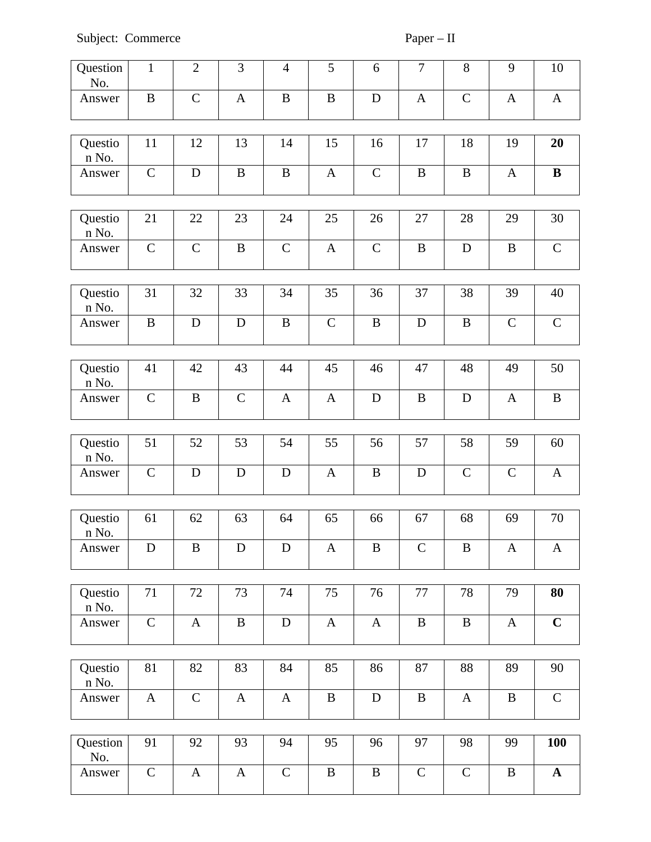| Question<br>No.            | $\mathbf{1}$  | $\overline{2}$ | 3            | $\overline{\mathcal{A}}$ | 5            | 6            | $\overline{7}$ | 8            | $\overline{9}$ | 10           |
|----------------------------|---------------|----------------|--------------|--------------------------|--------------|--------------|----------------|--------------|----------------|--------------|
| Answer                     | $\mathbf B$   | $\mathsf{C}$   | $\mathbf{A}$ | $\bf{B}$                 | $\bf{B}$     | $\mathbf D$  | $\mathbf{A}$   | $\mathsf C$  | $\mathbf{A}$   | $\mathbf{A}$ |
| Questio<br>n No.           | 11            | 12             | 13           | 14                       | 15           | 16           | 17             | 18           | 19             | 20           |
| Answer                     | $\mathsf C$   | $\mathbf D$    | B            | B                        | $\mathbf{A}$ | $\mathsf C$  | $\bf{B}$       | $\, {\bf B}$ | $\mathbf{A}$   | $\bf{B}$     |
| Questio<br>n No.           | 21            | 22             | 23           | 24                       | 25           | 26           | 27             | 28           | 29             | 30           |
| Answer                     | $\mathsf C$   | $\mathsf C$    | $\, {\bf B}$ | $\mathsf C$              | $\mathbf{A}$ | $\mathsf C$  | $\, {\bf B}$   | ${\bf D}$    | $\mathbf B$    | $\mathsf C$  |
| Questio<br>n No.           | 31            | 32             | 33           | 34                       | 35           | 36           | 37             | 38           | 39             | 40           |
| Answer                     | $\, {\bf B}$  | D              | $\mathbf D$  | $\mathbf B$              | $\mathsf{C}$ | $\mathbf B$  | $\mathbf D$    | $\, {\bf B}$ | $\mathsf{C}$   | $\mathsf C$  |
|                            |               |                |              |                          |              |              |                |              |                |              |
| Questio<br>$\mathbf n$ No. | 41            | 42             | 43           | 44                       | 45           | 46           | 47             | 48           | 49             | 50           |
| Answer                     | $\mathsf C$   | $\mathbf B$    | $\mathsf C$  | $\mathbf{A}$             | $\mathbf{A}$ | D            | $\bf{B}$       | $\mathbf D$  | $\mathbf{A}$   | $\, {\bf B}$ |
| Questio<br>n No.           | 51            | 52             | 53           | 54                       | 55           | 56           | 57             | 58           | 59             | 60           |
| Answer                     | $\mathsf C$   | $\mathbf D$    | $\mathbf D$  | ${\bf D}$                | $\mathbf{A}$ | $\mathbf B$  | ${\bf D}$      | $\mathsf C$  | $\mathsf C$    | $\mathbf{A}$ |
|                            |               |                |              |                          |              |              |                |              |                |              |
| Questio<br>n No.           | 61            | 62             | 63           | 64                       | 65           | 66           | 67             | 68           | 69             | 70           |
| Answer                     | D             | $\bf{B}$       | $\mathbf D$  | $\mathbf D$              | $\mathbf{A}$ | $\mathbf B$  | $\mathsf C$    | $\, {\bf B}$ | $\mathbf{A}$   | $\mathbf{A}$ |
|                            |               |                |              |                          |              |              |                |              |                |              |
| Questio<br>$\,$ n No.      | 71            | 72             | 73           | 74                       | 75           | 76           | 77             | 78           | 79             | 80           |
| Answer                     | $\mathsf C$   | $\mathbf{A}$   | $\bf{B}$     | $\mathbf D$              | $\mathbf{A}$ | $\mathbf{A}$ | $\, {\bf B}$   | $\, {\bf B}$ | $\mathbf{A}$   | $\mathbf C$  |
|                            |               |                |              |                          |              |              |                |              |                |              |
| Questio<br>n No.           | 81            | 82             | 83           | 84                       | 85           | 86           | 87             | 88           | 89             | 90           |
| Answer                     | $\mathbf{A}$  | $\mathsf{C}$   | $\mathbf{A}$ | $\mathbf{A}$             | $\mathbf B$  | ${\bf D}$    | $\mathbf B$    | $\mathbf{A}$ | $\, {\bf B}$   | $\mathsf C$  |
| Question                   | 91            | 92             | 93           | 94                       | 95           | 96           | 97             | 98           | 99             | 100          |
| No.<br>Answer              | ${\mathsf C}$ | $\mathbf{A}$   | $\mathbf{A}$ | ${\mathsf C}$            | $\, {\bf B}$ | $\, {\bf B}$ | $\mathsf C$    | $\mathsf C$  | $\, {\bf B}$   | ${\bf A}$    |
|                            |               |                |              |                          |              |              |                |              |                |              |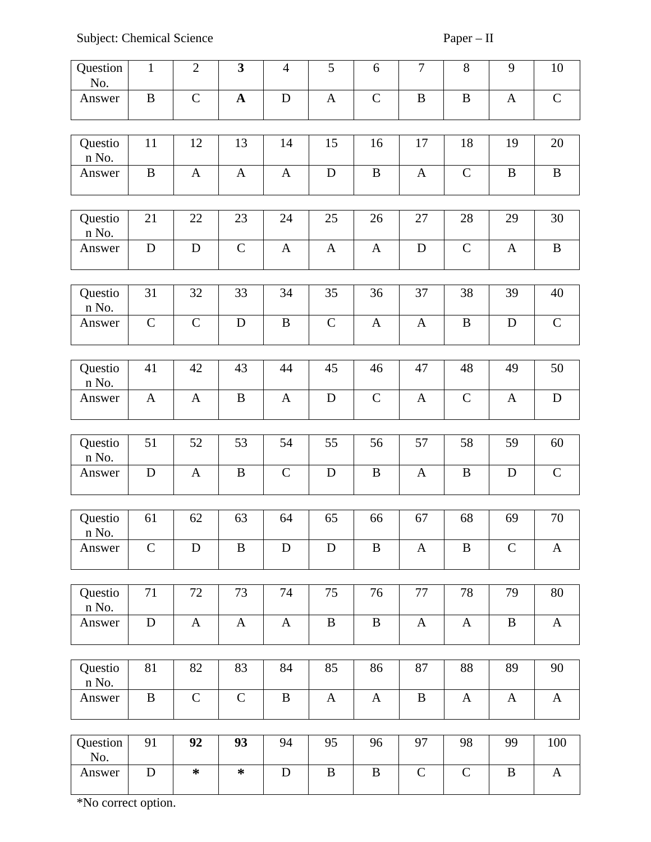Subject: Chemical Science Paper – II

| Question<br>No.       | $\mathbf{1}$ | $\overline{2}$ | 3            | $\overline{4}$ | 5            | 6            | $\overline{7}$ | 8             | $9\,$        | $10\,$       |
|-----------------------|--------------|----------------|--------------|----------------|--------------|--------------|----------------|---------------|--------------|--------------|
| Answer                | $\, {\bf B}$ | $\mathsf{C}$   | $\mathbf{A}$ | $\mathbf D$    | $\mathbf{A}$ | $\mathsf{C}$ | $\, {\bf B}$   | $\, {\bf B}$  | $\mathbf{A}$ | $\mathsf C$  |
| Questio<br>n No.      | 11           | 12             | 13           | 14             | 15           | 16           | 17             | 18            | 19           | 20           |
| Answer                | $\mathbf B$  | $\mathbf{A}$   | $\mathbf{A}$ | $\mathbf{A}$   | $\mathbf D$  | $\mathbf B$  | $\mathbf{A}$   | $\mathsf{C}$  | $\mathbf B$  | $\mathbf B$  |
| Questio<br>n No.      | 21           | 22             | 23           | 24             | 25           | 26           | 27             | 28            | 29           | 30           |
| Answer                | $\mathbf D$  | $\mathbf D$    | $\mathsf C$  | $\mathbf{A}$   | $\mathbf{A}$ | $\mathbf{A}$ | $\mathbf D$    | $\mathsf C$   | $\mathbf{A}$ | $\, {\bf B}$ |
| Questio<br>n No.      | 31           | 32             | 33           | 34             | 35           | 36           | 37             | 38            | 39           | 40           |
| Answer                | $\mathsf C$  | $\mathsf C$    | $\mathbf D$  | $\, {\bf B}$   | $\mathsf C$  | $\mathbf{A}$ | $\mathbf{A}$   | $\, {\bf B}$  | D            | $\mathsf C$  |
| Questio<br>n No.      | 41           | 42             | 43           | 44             | 45           | 46           | 47             | 48            | 49           | 50           |
| Answer                | $\mathbf{A}$ | $\mathbf{A}$   | $\, {\bf B}$ | $\mathbf{A}$   | $\mathbf D$  | $\mathsf C$  | $\mathbf{A}$   | ${\mathsf C}$ | $\mathbf{A}$ | ${\bf D}$    |
| Questio<br>n No.      | 51           | 52             | 53           | 54             | 55           | 56           | 57             | 58            | 59           | 60           |
| Answer                | $\mathbf D$  | A              | B            | $\mathsf C$    | $\mathbf D$  | B            | A              | $\bf{B}$      | D            | $\mathsf C$  |
| Questio<br>$\,$ n No. | 61           | 62             | 63           | 64             | 65           | 66           | 67             | 68            | 69           | 70           |
| Answer                | $\mathsf C$  | D              | B            | D              | D            | B            | A              | $\bf{B}$      | $\mathsf{C}$ | A            |
| Questio<br>n No.      | 71           | 72             | 73           | 74             | 75           | 76           | 77             | 78            | 79           | 80           |
| Answer                | ${\bf D}$    | A              | $\mathbf{A}$ | $\mathbf{A}$   | $\bf{B}$     | B            | $\mathbf{A}$   | $\mathbf{A}$  | B            | $\mathbf{A}$ |
| Questio<br>n No.      | 81           | 82             | 83           | 84             | 85           | 86           | 87             | 88            | 89           | 90           |
| Answer                | $\, {\bf B}$ | $\mathsf C$    | $\mathsf{C}$ | $\, {\bf B}$   | $\mathbf{A}$ | $\mathbf{A}$ | $\, {\bf B}$   | $\mathbf{A}$  | $\mathbf{A}$ | $\mathbf{A}$ |
| Question              | 91           | 92             | 93           | 94             | 95           | 96           | 97             | 98            | 99           | 100          |
| No.                   |              |                |              |                |              |              |                |               |              |              |
| Answer                | $\mathbf D$  | $\ast$         | $\ast$       | $\mathbf D$    | B            | $\bf{B}$     | $\mathsf{C}$   | $\mathsf{C}$  | $\bf{B}$     | $\mathbf{A}$ |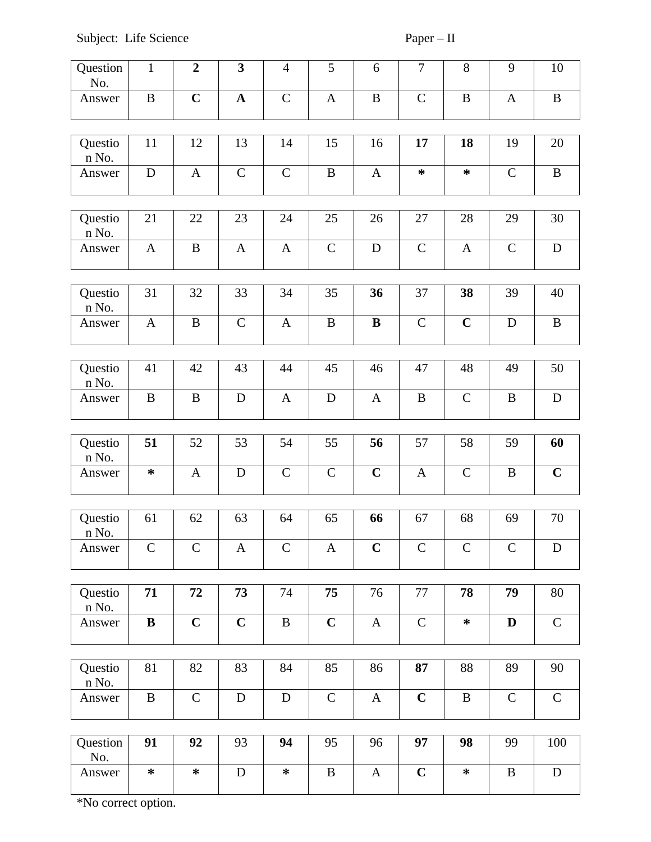| Question<br>No.  | $\mathbf{1}$ | $\overline{2}$ | 3            | $\overline{4}$ | 5            | 6            | 7            | 8            | $\overline{9}$ | 10           |
|------------------|--------------|----------------|--------------|----------------|--------------|--------------|--------------|--------------|----------------|--------------|
| Answer           | $\, {\bf B}$ | $\mathbf C$    | $\mathbf{A}$ | $\mathsf C$    | $\mathbf{A}$ | $\, {\bf B}$ | $\mathsf C$  | $\, {\bf B}$ | $\mathbf{A}$   | $\, {\bf B}$ |
|                  |              |                |              |                |              |              |              |              |                |              |
| Questio<br>n No. | 11           | 12             | 13           | 14             | 15           | 16           | 17           | 18           | 19             | 20           |
| Answer           | $\mathbf D$  | $\mathbf{A}$   | $\mathsf{C}$ | $\mathsf C$    | $\mathbf B$  | $\mathbf{A}$ | $\ast$       | ∗            | $\mathsf{C}$   | $\, {\bf B}$ |
|                  |              |                |              |                |              |              |              |              |                |              |
| Questio<br>n No. | 21           | 22             | 23           | 24             | 25           | 26           | 27           | 28           | 29             | 30           |
| Answer           | $\mathbf{A}$ | B              | $\mathbf{A}$ | $\mathbf{A}$   | $\mathsf C$  | $\mathbf D$  | $\mathsf C$  | $\mathbf{A}$ | $\mathsf C$    | ${\bf D}$    |
|                  |              |                |              |                |              |              |              |              |                |              |
| Questio<br>n No. | 31           | 32             | 33           | 34             | 35           | 36           | 37           | 38           | 39             | 40           |
| Answer           | $\mathbf{A}$ | $\, {\bf B}$   | $\mathsf C$  | $\mathbf{A}$   | $\mathbf B$  | $\bf{B}$     | $\mathsf C$  | $\mathbf C$  | D              | $\, {\bf B}$ |
|                  |              |                |              |                |              |              |              |              |                |              |
| Questio<br>n No. | 41           | 42             | 43           | 44             | 45           | 46           | 47           | 48           | 49             | 50           |
| Answer           | $\, {\bf B}$ | $\bf{B}$       | ${\bf D}$    | $\mathbf{A}$   | ${\bf D}$    | $\mathbf{A}$ | $\, {\bf B}$ | $\mathsf C$  | $\mathbf B$    | ${\bf D}$    |
|                  |              |                |              |                |              |              |              |              |                |              |
| Questio<br>n No. | 51           | 52             | 53           | 54             | 55           | 56           | 57           | 58           | 59             | 60           |
| Answer           | $\ast$       | $\mathbf{A}$   | $\mathbf D$  | $\mathsf C$    | $\mathsf C$  | $\mathbf C$  | $\mathbf{A}$ | $\mathsf C$  | $\mathbf B$    | $\mathbf C$  |
|                  |              |                |              |                |              |              |              |              |                |              |
| Questio<br>n No. | 61           | 62             | 63           | 64             | 65           | 66           | 67           | 68           | 69             | 70           |
| Answer           | $\mathsf{C}$ | $\mathsf C$    | $\mathbf{A}$ | $\mathsf C$    | $\mathbf{A}$ | $\mathbf C$  | $\mathsf C$  | $\mathsf C$  | $\mathsf{C}$   | $\mathbf D$  |
|                  |              |                |              |                |              |              |              |              |                |              |
| Questio<br>n No. | 71           | 72             | 73           | 74             | 75           | 76           | 77           | 78           | 79             | 80           |
| Answer           | $\bf{B}$     | $\mathbf C$    | $\mathbf C$  | $\, {\bf B}$   | $\mathbf C$  | $\mathbf{A}$ | $\mathsf C$  | $\ast$       | D              | $\mathsf C$  |
|                  |              |                |              |                |              |              |              |              |                |              |
| Questio<br>n No. | 81           | 82             | 83           | 84             | 85           | 86           | 87           | 88           | 89             | 90           |
| Answer           | $\, {\bf B}$ | $\mathsf C$    | ${\bf D}$    | ${\bf D}$      | $\mathsf C$  | $\mathbf{A}$ | $\mathbf C$  | $\, {\bf B}$ | $\mathsf{C}$   | $\mathsf C$  |
|                  |              |                |              |                |              |              |              |              |                |              |
| Question<br>No.  | 91           | 92             | 93           | 94             | 95           | 96           | 97           | 98           | 99             | 100          |
| Answer           | $\ast$       | $\ast$         | ${\bf D}$    | $\ast$         | $\, {\bf B}$ | $\mathbf{A}$ | $\mathbf C$  | $\ast$       | $\bf{B}$       | ${\bf D}$    |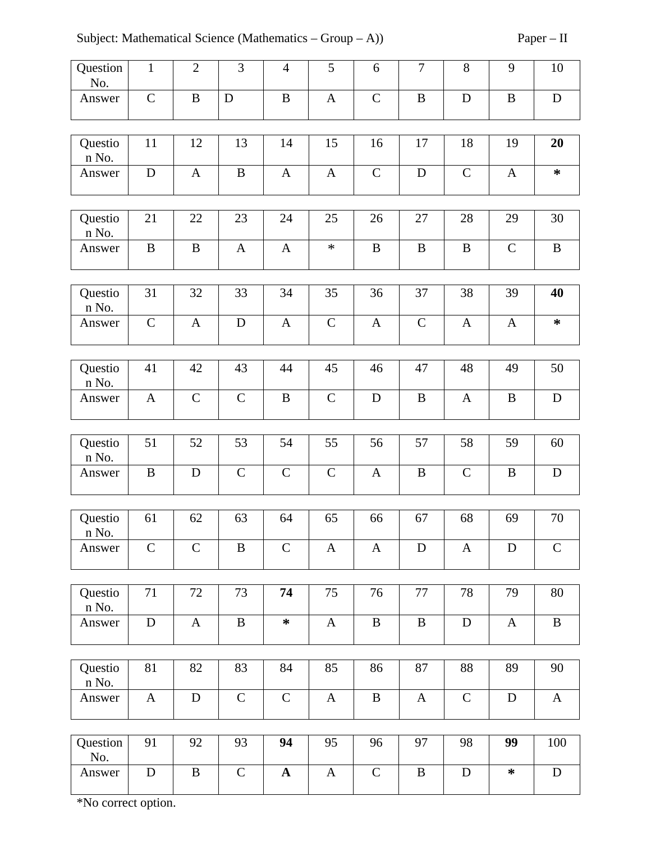Subject: Mathematical Science (Mathematics – Group – A)) Paper – II

| Question<br>No.       | $\mathbf{1}$ | $\overline{2}$ | 3            | 4            | 5            | 6            | $\overline{7}$ | 8            | 9            | 10           |
|-----------------------|--------------|----------------|--------------|--------------|--------------|--------------|----------------|--------------|--------------|--------------|
| Answer                | $\mathsf C$  | $\bf{B}$       | D            | $\, {\bf B}$ | $\mathbf{A}$ | $\mathsf C$  | $\, {\bf B}$   | $\mathbf D$  | $\mathbf B$  | $\mathbf D$  |
| Questio<br>n No.      | 11           | 12             | 13           | 14           | 15           | 16           | 17             | 18           | 19           | 20           |
| Answer                | ${\bf D}$    | $\mathbf{A}$   | $\mathbf B$  | $\mathbf{A}$ | $\mathbf{A}$ | $\mathsf{C}$ | ${\bf D}$      | ${\bf C}$    | $\mathbf{A}$ | $\ast$       |
| Questio<br>n No.      | 21           | 22             | 23           | 24           | 25           | 26           | 27             | 28           | 29           | 30           |
| Answer                | $\, {\bf B}$ | $\mathbf B$    | $\mathbf{A}$ | A            | $\ast$       | B            | $\bf{B}$       | $\, {\bf B}$ | $\mathsf{C}$ | $\bf{B}$     |
| Questio<br>n No.      | 31           | 32             | 33           | 34           | 35           | 36           | 37             | 38           | 39           | 40           |
| Answer                | $\mathsf{C}$ | $\mathbf{A}$   | $\mathbf D$  | $\mathbf{A}$ | $\mathsf C$  | $\mathbf{A}$ | $\mathsf C$    | $\mathbf{A}$ | $\mathbf{A}$ | $\ast$       |
| Questio<br>n No.      | 41           | 42             | 43           | 44           | 45           | 46           | 47             | 48           | 49           | 50           |
| Answer                | $\mathbf{A}$ | $\mathsf C$    | $\mathsf C$  | $\, {\bf B}$ | $\mathsf C$  | $\mathbf D$  | $\bf{B}$       | $\mathbf{A}$ | $\mathbf B$  | ${\bf D}$    |
| Questio<br>n No.      | 51           | 52             | 53           | 54           | 55           | 56           | 57             | 58           | 59           | 60           |
| Answer                | $\bf{B}$     | $\mathbf D$    | $\mathsf{C}$ | $\mathsf{C}$ | $\mathsf{C}$ | $\mathbf{A}$ | $\, {\bf B}$   | $\mathsf C$  | $\mathbf B$  | $\mathbf D$  |
| Questio<br>n No.      | 61           | 62             | 63           | 64           | 65           | 66           | 67             | 68           | 69           | 70           |
| Answer                | $\mathsf C$  | $\mathsf{C}$   | $\, {\bf B}$ | $\mathsf{C}$ | $\mathbf{A}$ | $\mathbf{A}$ | $\mathbf D$    | $\mathbf{A}$ | D            | $\mathsf C$  |
| Questio<br>n No.      | $71\,$       | 72             | 73           | 74           | 75           | 76           | 77             | 78           | 79           | 80           |
| Answer                | $\mathbf D$  | $\mathbf{A}$   | $\, {\bf B}$ | $\ast$       | $\mathbf{A}$ | $\mathbf B$  | $\bf{B}$       | ${\bf D}$    | $\mathbf{A}$ | $\, {\bf B}$ |
| Questio<br>$\,$ n No. | 81           | 82             | 83           | 84           | 85           | 86           | 87             | 88           | 89           | 90           |
| Answer                | $\mathbf{A}$ | $\mathbf D$    | $\mathsf{C}$ | $\mathsf C$  | $\mathbf{A}$ | $\bf{B}$     | $\mathbf{A}$   | $\mathsf C$  | D            | $\mathbf{A}$ |
| Question<br>No.       | 91           | 92             | 93           | 94           | 95           | 96           | 97             | 98           | 99           | 100          |
| Answer                | $\mathbf D$  | B              | $\mathsf C$  | $\mathbf A$  | $\mathbf{A}$ | $\mathsf{C}$ | $\, {\bf B}$   | ${\bf D}$    | $\ast$       | $\mathbf D$  |

 $\overline{\mathsf{L}}$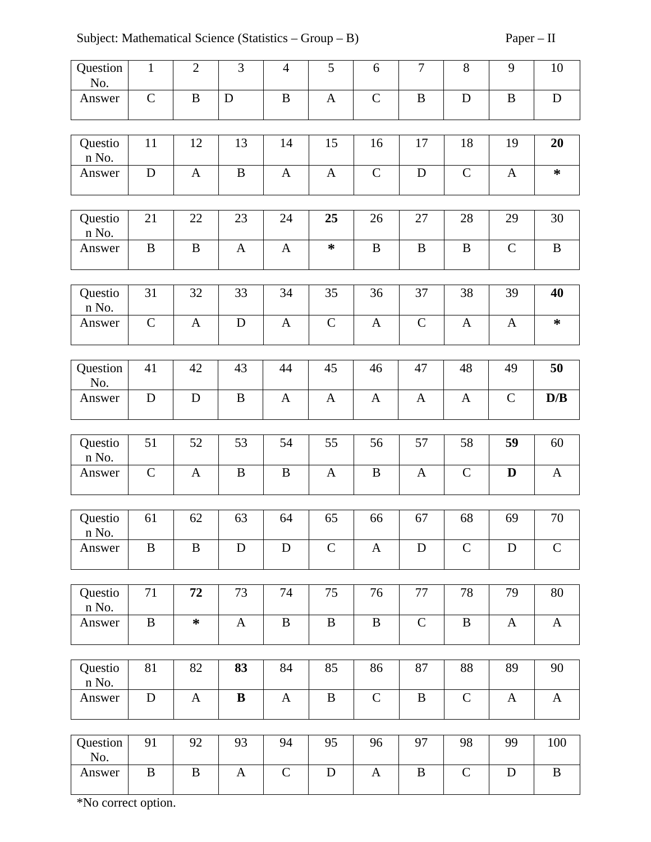Subject: Mathematical Science (Statistics – Group – B) Paper – II

| Question<br>No.  | $\mathbf{1}$ | $\overline{2}$ | 3            | $\overline{4}$ | 5            | 6            | $\overline{7}$ | 8            | 9            | $10\,$       |
|------------------|--------------|----------------|--------------|----------------|--------------|--------------|----------------|--------------|--------------|--------------|
| Answer           | $\mathsf C$  | $\, {\bf B}$   | D            | $\, {\bf B}$   | $\mathbf{A}$ | $\mathsf C$  | $\, {\bf B}$   | $\mathbf D$  | B            | ${\bf D}$    |
| Questio<br>n No. | 11           | 12             | 13           | 14             | 15           | 16           | 17             | 18           | 19           | 20           |
| Answer           | $\mathbf D$  | $\mathbf{A}$   | $\, {\bf B}$ | $\mathbf{A}$   | $\mathbf{A}$ | $\mathsf C$  | ${\bf D}$      | $\mathsf C$  | $\mathbf{A}$ | $\ast$       |
| Questio<br>n No. | 21           | 22             | 23           | 24             | 25           | 26           | 27             | 28           | 29           | 30           |
| Answer           | $\bf{B}$     | $\bf{B}$       | $\mathbf{A}$ | $\mathbf{A}$   | ∗            | $\mathbf B$  | $\, {\bf B}$   | $\, {\bf B}$ | $\mathsf C$  | $\, {\bf B}$ |
| Questio<br>n No. | 31           | 32             | 33           | 34             | 35           | 36           | 37             | 38           | 39           | 40           |
| Answer           | $\mathsf{C}$ | A              | D            | $\mathbf{A}$   | $\mathsf C$  | $\mathbf{A}$ | $\mathsf C$    | A            | $\mathbf{A}$ | $\ast$       |
| Question<br>No.  | 41           | 42             | 43           | 44             | 45           | 46           | 47             | 48           | 49           | 50           |
| Answer           | $\mathbf D$  | $\mathbf D$    | $\, {\bf B}$ | $\mathbf{A}$   | $\mathbf{A}$ | $\mathbf{A}$ | $\mathbf{A}$   | $\mathbf{A}$ | $\mathsf{C}$ | D/B          |
| Questio<br>n No. | 51           | 52             | 53           | 54             | 55           | 56           | 57             | 58           | 59           | 60           |
| Answer           | $\mathsf{C}$ | $\mathbf{A}$   | $\, {\bf B}$ | B              | $\mathbf{A}$ | $\bf{B}$     | $\mathbf{A}$   | $\mathsf{C}$ | D            | $\mathbf{A}$ |
| Questio          | 61           | 62             | 63           | 64             | 65           | 66           | 67             | 68           | 69           | 70           |
| n No.<br>Answer  | $\, {\bf B}$ | $\bf{B}$       | $\mathbf D$  | ${\bf D}$      | $\mathsf{C}$ | $\mathbf{A}$ | ${\bf D}$      | $\mathsf C$  | D            | $\mathsf C$  |
|                  |              |                |              |                |              |              |                |              |              |              |
| Questio<br>n No. | 71           | 72             | 73           | 74             | 75           | 76           | 77             | 78           | 79           | 80           |
| Answer           | $\bf{B}$     | $\ast$         | $\mathbf{A}$ | $\, {\bf B}$   | $\, {\bf B}$ | $\mathbf B$  | $\mathsf{C}$   | $\, {\bf B}$ | $\mathbf{A}$ | $\mathbf{A}$ |
| Questio<br>n No. | 81           | 82             | 83           | 84             | 85           | 86           | 87             | 88           | 89           | 90           |
| Answer           | $\mathbf D$  | A              | $\bf{B}$     | $\mathbf{A}$   | $\, {\bf B}$ | $\mathsf C$  | $\, {\bf B}$   | $\mathsf C$  | $\mathbf{A}$ | $\mathbf{A}$ |
|                  |              |                |              |                |              |              |                |              |              |              |
| Question<br>No.  | 91           | 92             | 93           | 94             | 95           | 96           | 97             | 98           | 99           | 100          |
| Answer           | B            | $\bf{B}$       | $\mathbf{A}$ | $\mathsf{C}$   | ${\bf D}$    | $\mathbf{A}$ | $\, {\bf B}$   | $\mathsf C$  | $\mathbf D$  | $\, {\bf B}$ |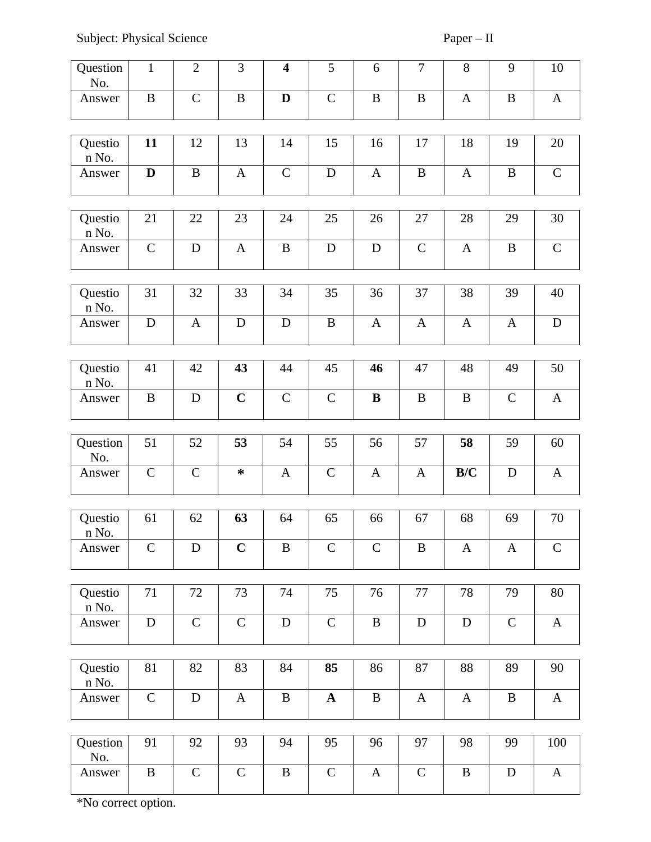Subject: Physical Science Paper – II

| Question<br>No.            | $\mathbf{1}$ | $\overline{2}$ | 3            | $\overline{\mathbf{4}}$ | 5            | 6            | $\overline{7}$ | 8                | 9                | 10           |
|----------------------------|--------------|----------------|--------------|-------------------------|--------------|--------------|----------------|------------------|------------------|--------------|
| Answer                     | $\bf{B}$     | $\mathsf C$    | $\, {\bf B}$ | D                       | $\mathsf{C}$ | $\, {\bf B}$ | $\, {\bf B}$   | $\mathbf{A}$     | $\mathbf B$      | $\mathbf{A}$ |
|                            |              |                |              |                         |              |              |                |                  |                  |              |
| Questio<br>n No.           | 11           | 12             | 13           | 14                      | 15           | 16           | 17             | 18               | 19               | 20           |
| Answer                     | $\mathbf D$  | B              | $\mathbf{A}$ | $\mathsf C$             | $\mathbf D$  | $\mathbf{A}$ | B              | $\mathbf{A}$     | B                | $\mathsf{C}$ |
|                            |              |                |              |                         |              |              |                |                  |                  |              |
| Questio<br>n No.           | 21           | 22             | 23           | 24                      | 25           | 26           | 27             | 28               | 29               | 30           |
| Answer                     | $\mathsf C$  | $\mathbf D$    | $\mathbf{A}$ | $\, {\bf B}$            | $\mathbf D$  | $\mathbf D$  | $\mathsf C$    | $\mathbf{A}$     | $\mathbf B$      | $\mathsf C$  |
|                            |              |                |              |                         |              |              |                |                  |                  |              |
| Questio<br>n No.           | 31           | 32             | 33           | 34                      | 35           | 36           | 37             | 38               | 39               | 40           |
| Answer                     | ${\bf D}$    | $\mathbf{A}$   | $\mathbf D$  | ${\bf D}$               | $\bf{B}$     | $\mathbf{A}$ | $\mathbf{A}$   | $\boldsymbol{A}$ | $\boldsymbol{A}$ | ${\bf D}$    |
|                            |              |                |              |                         |              |              |                |                  |                  |              |
| Questio<br>n No.           | 41           | 42             | 43           | 44                      | 45           | 46           | 47             | 48               | 49               | 50           |
| Answer                     | $\, {\bf B}$ | $\mathbf D$    | $\mathbf C$  | $\mathsf C$             | $\mathsf C$  | $\bf{B}$     | $\, {\bf B}$   | $\, {\bf B}$     | $\mathsf C$      | $\mathbf{A}$ |
|                            |              |                |              |                         |              |              |                |                  |                  |              |
| Question<br>No.            | 51           | 52             | 53           | 54                      | 55           | 56           | 57             | 58               | 59               | 60           |
| Answer                     | $\mathsf C$  | $\mathsf C$    | $\ast$       | $\mathbf{A}$            | $\mathsf C$  | $\mathbf{A}$ | A              | B/C              | D                | $\bf{A}$     |
|                            |              |                |              |                         |              |              |                |                  |                  |              |
| Questio<br>$\mathbf n$ No. | 61           | 62             | 63           | 64                      | 65           | 66           | 67             | 68               | 69               | 70           |
| Answer                     | $\mathsf C$  | $\mathbf D$    | $\mathbf C$  | $\, {\bf B}$            | $\mathsf C$  | $\mathsf{C}$ | B              | A                | $\mathbf{A}$     | $\mathsf C$  |
|                            |              |                |              |                         |              |              |                |                  |                  |              |
| Questio<br>n No.           | 71           | 72             | 73           | 74                      | 75           | 76           | 77             | 78               | 79               | 80           |
| Answer                     | ${\bf D}$    | $\mathsf C$    | $\mathsf{C}$ | ${\bf D}$               | $\mathsf C$  | B            | $\mathbf D$    | $\mathbf D$      | $\mathsf{C}$     | $\mathbf{A}$ |
|                            |              |                |              |                         |              |              |                |                  |                  |              |
| Questio<br>n No.           | 81           | 82             | 83           | 84                      | 85           | 86           | 87             | 88               | 89               | 90           |
| Answer                     | $\mathsf C$  | ${\bf D}$      | $\mathbf{A}$ | $\, {\bf B}$            | ${\bf A}$    | $\, {\bf B}$ | $\mathbf{A}$   | $\mathbf{A}$     | $\bf{B}$         | $\mathbf{A}$ |
|                            |              |                |              |                         |              |              |                |                  |                  |              |
| Question<br>No.            | 91           | 92             | 93           | 94                      | 95           | 96           | 97             | 98               | 99               | 100          |
| Answer                     | $\, {\bf B}$ | $\mathsf C$    | $\mathsf{C}$ | $\bf{B}$                | $\mathsf C$  | $\mathbf{A}$ | $\mathsf{C}$   | $\, {\bf B}$     | D                | $\mathbf{A}$ |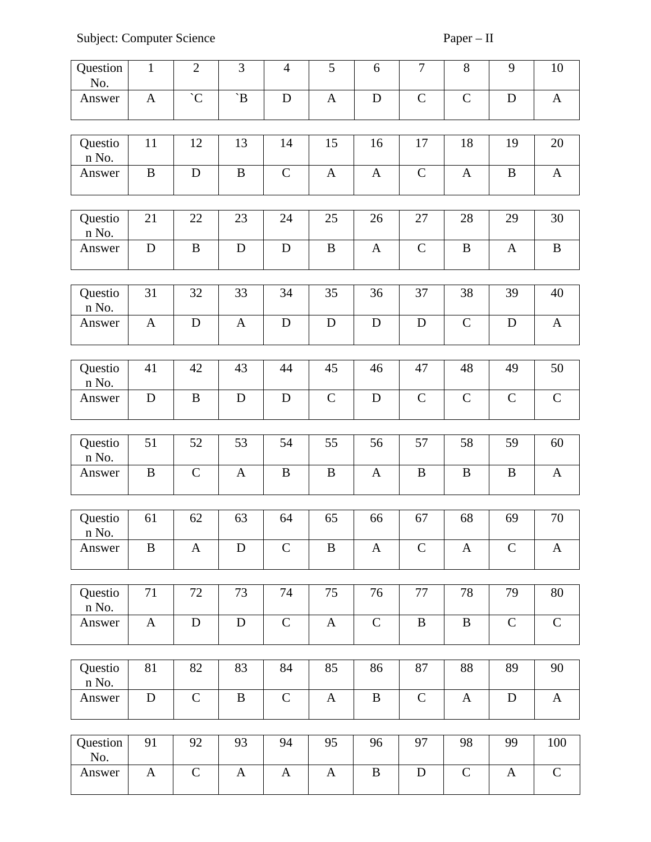Subject: Computer Science Paper – II

| Question<br>No.  | $\mathbf{1}$ | $\overline{2}$ | 3            | $\overline{4}$ | 5            | 6            | 7            | 8             | 9            | $10\,$       |
|------------------|--------------|----------------|--------------|----------------|--------------|--------------|--------------|---------------|--------------|--------------|
| Answer           | $\mathbf{A}$ | $\overline{C}$ | $\mathbf B'$ | $\mathbf D$    | A            | D            | $\mathsf C$  | $\mathsf{C}$  | D            | $\mathbf{A}$ |
|                  |              |                |              |                |              |              |              |               |              |              |
| Questio<br>n No. | 11           | 12             | 13           | 14             | 15           | 16           | 17           | 18            | 19           | 20           |
| Answer           | $\, {\bf B}$ | $\mathbf D$    | $\, {\bf B}$ | $\mathsf C$    | $\mathbf{A}$ | $\mathbf{A}$ | $\mathsf C$  | $\mathbf{A}$  | $\mathbf B$  | $\mathbf{A}$ |
|                  |              |                |              |                |              |              |              |               |              |              |
| Questio<br>n No. | 21           | 22             | 23           | 24             | 25           | 26           | 27           | 28            | 29           | 30           |
| Answer           | $\mathbf D$  | $\mathbf B$    | D            | $\mathbf D$    | $\bf{B}$     | $\mathbf{A}$ | ${\bf C}$    | $\bf{B}$      | $\mathbf{A}$ | $\, {\bf B}$ |
|                  |              |                |              |                |              |              |              |               |              |              |
| Questio<br>n No. | 31           | 32             | 33           | 34             | 35           | 36           | 37           | 38            | 39           | 40           |
| Answer           | $\mathbf{A}$ | D              | $\mathbf{A}$ | $\mathbf D$    | D            | $\mathbf D$  | D            | $\mathsf{C}$  | D            | $\mathbf{A}$ |
|                  |              |                |              |                |              |              |              |               |              |              |
| Questio<br>n No. | 41           | 42             | 43           | 44             | 45           | 46           | 47           | 48            | 49           | 50           |
| Answer           | $\mathbf D$  | $\mathbf B$    | D            | ${\bf D}$      | $\mathsf C$  | $\mathbf D$  | $\mathsf C$  | $\mathsf C$   | $\mathsf{C}$ | ${\bf C}$    |
|                  |              |                |              |                |              |              |              |               |              |              |
| Questio<br>n No. | 51           | 52             | 53           | 54             | 55           | 56           | 57           | 58            | 59           | 60           |
| Answer           | $\mathbf B$  | $\mathsf C$    | $\mathbf{A}$ | $\bf{B}$       | B            | $\mathbf{A}$ | $\bf{B}$     | $\, {\bf B}$  | $\bf{B}$     | $\mathbf{A}$ |
|                  |              |                |              |                |              |              |              |               |              |              |
| Questio<br>n No. | 61           | 62             | 63           | 64             | 65           | 66           | 67           | 68            | 69           | 70           |
| Answer           | $\mathbf B$  | $\mathbf{A}$   | ${\bf D}$    | $\mathsf{C}$   | $\, {\bf B}$ | $\mathbf{A}$ | $\mathsf C$  | $\mathbf{A}$  | $\mathsf{C}$ | $\mathbf{A}$ |
|                  |              |                |              |                |              |              |              |               |              |              |
| Questio<br>n No. | 71           | 72             | 73           | 74             | 75           | 76           | 77           | 78            | 79           | $80\,$       |
| Answer           | $\mathbf{A}$ | $\mathbf D$    | $\mathbf D$  | $\mathsf C$    | $\mathbf{A}$ | $\mathsf C$  | $\, {\bf B}$ | $\, {\bf B}$  | $\mathsf C$  | $\mathsf C$  |
|                  |              |                |              |                |              |              |              |               |              |              |
| Questio<br>n No. | 81           | 82             | 83           | 84             | 85           | 86           | 87           | 88            | 89           | 90           |
| Answer           | $\mathbf D$  | $\mathsf C$    | $\, {\bf B}$ | $\mathsf C$    | $\mathbf{A}$ | $\mathbf B$  | $\mathsf C$  | $\mathbf{A}$  | D            | $\mathbf{A}$ |
|                  |              |                |              |                |              |              |              |               |              |              |
| Question<br>No.  | 91           | 92             | 93           | 94             | 95           | 96           | 97           | 98            | 99           | 100          |
| Answer           | $\mathbf{A}$ | $\mathsf{C}$   | $\mathbf{A}$ | $\mathbf{A}$   | $\mathbf{A}$ | $\bf{B}$     | D            | ${\mathsf C}$ | $\mathbf{A}$ | $\mathsf C$  |